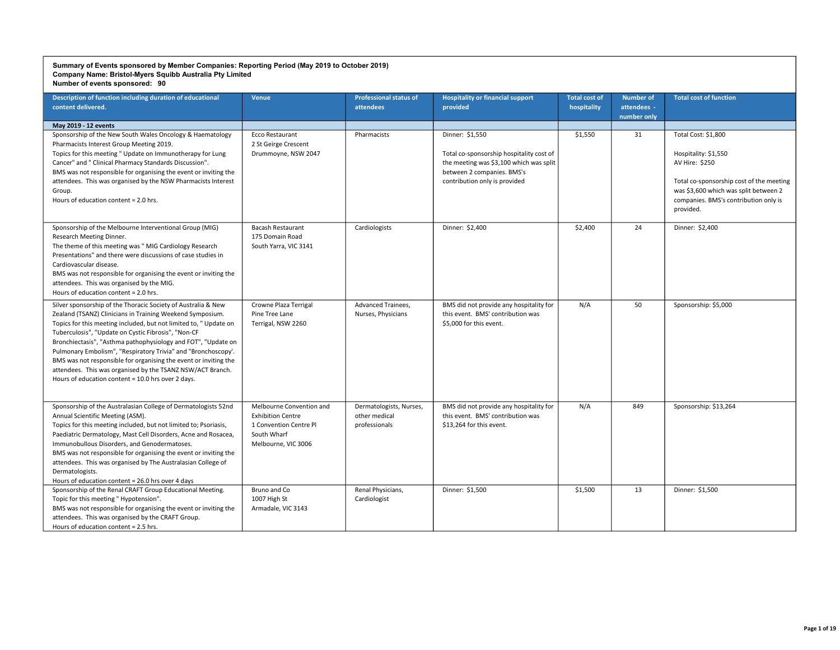| Description of function including duration of educational<br>content delivered.                                                                                                                                                                                                                                                                                                                                                                                                                                                                                                 | <b>Venue</b>                                                                                                         | <b>Professional status of</b><br>attendees                | <b>Hospitality or financial support</b><br>provided                                                                                                                   | <b>Total cost of</b><br>hospitality | <b>Number of</b><br>attendees -<br>number only | <b>Total cost of function</b>                                                                                                                                                                            |
|---------------------------------------------------------------------------------------------------------------------------------------------------------------------------------------------------------------------------------------------------------------------------------------------------------------------------------------------------------------------------------------------------------------------------------------------------------------------------------------------------------------------------------------------------------------------------------|----------------------------------------------------------------------------------------------------------------------|-----------------------------------------------------------|-----------------------------------------------------------------------------------------------------------------------------------------------------------------------|-------------------------------------|------------------------------------------------|----------------------------------------------------------------------------------------------------------------------------------------------------------------------------------------------------------|
| May 2019 - 12 events                                                                                                                                                                                                                                                                                                                                                                                                                                                                                                                                                            |                                                                                                                      |                                                           |                                                                                                                                                                       |                                     |                                                |                                                                                                                                                                                                          |
| Sponsorship of the New South Wales Oncology & Haematology<br>Pharmacists Interest Group Meeting 2019.<br>Topics for this meeting " Update on Immunotherapy for Lung<br>Cancer" and " Clinical Pharmacy Standards Discussion".<br>BMS was not responsible for organising the event or inviting the<br>attendees. This was organised by the NSW Pharmacists Interest<br>Group.<br>Hours of education content = 2.0 hrs.                                                                                                                                                           | Ecco Restaurant<br>2 St Geirge Crescent<br>Drummoyne, NSW 2047                                                       | Pharmacists                                               | Dinner: \$1.550<br>Total co-sponsorship hospitality cost of<br>the meeting was \$3,100 which was split<br>between 2 companies. BMS's<br>contribution only is provided | \$1,550                             | 31                                             | Total Cost: \$1,800<br>Hospitality: \$1,550<br>AV Hire: \$250<br>Total co-sponsorship cost of the meeting<br>was \$3,600 which was split between 2<br>companies. BMS's contribution only is<br>provided. |
| Sponsorship of the Melbourne Interventional Group (MIG)<br>Research Meeting Dinner.<br>The theme of this meeting was " MIG Cardiology Research<br>Presentations" and there were discussions of case studies in<br>Cardiovascular disease.<br>BMS was not responsible for organising the event or inviting the<br>attendees. This was organised by the MIG.<br>Hours of education content = 2.0 hrs.                                                                                                                                                                             | <b>Bacash Restaurant</b><br>175 Domain Road<br>South Yarra, VIC 3141                                                 | Cardiologists                                             | Dinner: \$2,400                                                                                                                                                       | \$2,400                             | 24                                             | Dinner: \$2,400                                                                                                                                                                                          |
| Silver sponsorship of the Thoracic Society of Australia & New<br>Zealand (TSANZ) Clinicians in Training Weekend Symposium.<br>Topics for this meeting included, but not limited to, "Update on<br>Tuberculosis", "Update on Cystic Fibrosis", "Non-CF<br>Bronchiectasis", "Asthma pathophysiology and FOT", "Update on<br>Pulmonary Embolism", "Respiratory Trivia" and "Bronchoscopy'.<br>BMS was not responsible for organising the event or inviting the<br>attendees. This was organised by the TSANZ NSW/ACT Branch.<br>Hours of education content = 10.0 hrs over 2 days. | Crowne Plaza Terrigal<br>Pine Tree Lane<br>Terrigal, NSW 2260                                                        | Advanced Trainees,<br>Nurses, Physicians                  | BMS did not provide any hospitality for<br>this event. BMS' contribution was<br>\$5,000 for this event.                                                               | N/A                                 | 50                                             | Sponsorship: \$5,000                                                                                                                                                                                     |
| Sponsorship of the Australasian College of Dermatologists 52nd<br>Annual Scientific Meeting (ASM).<br>Topics for this meeting included, but not limited to; Psoriasis,<br>Paediatric Dermatology, Mast Cell Disorders, Acne and Rosacea,<br>Immunobullous Disorders, and Genodermatoses.<br>BMS was not responsible for organising the event or inviting the<br>attendees. This was organised by The Australasian College of<br>Dermatologists.<br>Hours of education content = 26.0 hrs over 4 days                                                                            | Melbourne Convention and<br><b>Exhibition Centre</b><br>1 Convention Centre Pl<br>South Wharf<br>Melbourne, VIC 3006 | Dermatologists, Nurses,<br>other medical<br>professionals | BMS did not provide any hospitality for<br>this event. BMS' contribution was<br>\$13.264 for this event.                                                              | N/A                                 | 849                                            | Sponsorship: \$13,264                                                                                                                                                                                    |
| Sponsorship of the Renal CRAFT Group Educational Meeting.<br>Topic for this meeting "Hypotension".<br>BMS was not responsible for organising the event or inviting the<br>attendees. This was organised by the CRAFT Group.<br>Hours of education content = 2.5 hrs.                                                                                                                                                                                                                                                                                                            | Bruno and Co<br>1007 High St<br>Armadale, VIC 3143                                                                   | Renal Physicians,<br>Cardiologist                         | Dinner: \$1,500                                                                                                                                                       | \$1,500                             | 13                                             | Dinner: \$1,500                                                                                                                                                                                          |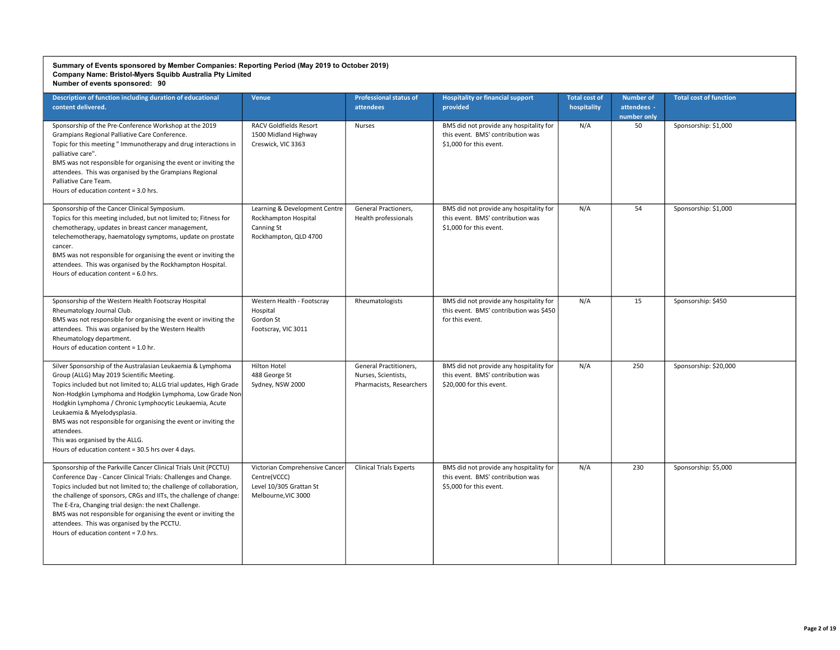| Description of function including duration of educational<br>content delivered.                                                                                                                                                                                                                                                                                                                                                                                                                                  | Venue                                                                                            | <b>Professional status of</b><br><b>attendees</b>                         | <b>Hospitality or financial support</b><br>provided                                                      | <b>Total cost of</b><br>hospitality | <b>Number of</b><br>attendees -<br>number only | <b>Total cost of function</b> |
|------------------------------------------------------------------------------------------------------------------------------------------------------------------------------------------------------------------------------------------------------------------------------------------------------------------------------------------------------------------------------------------------------------------------------------------------------------------------------------------------------------------|--------------------------------------------------------------------------------------------------|---------------------------------------------------------------------------|----------------------------------------------------------------------------------------------------------|-------------------------------------|------------------------------------------------|-------------------------------|
| Sponsorship of the Pre-Conference Workshop at the 2019<br>Grampians Regional Palliative Care Conference.<br>Topic for this meeting " Immunotherapy and drug interactions in<br>palliative care".<br>BMS was not responsible for organising the event or inviting the<br>attendees. This was organised by the Grampians Regional<br>Palliative Care Team.<br>Hours of education content = 3.0 hrs.                                                                                                                | <b>RACV Goldfields Resort</b><br>1500 Midland Highway<br>Creswick, VIC 3363                      | <b>Nurses</b>                                                             | BMS did not provide any hospitality for<br>this event. BMS' contribution was<br>\$1,000 for this event.  | N/A                                 | 50                                             | Sponsorship: \$1,000          |
| Sponsorship of the Cancer Clinical Symposium.<br>Topics for this meeting included, but not limited to; Fitness for<br>chemotherapy, updates in breast cancer management,<br>telechemotherapy, haematology symptoms, update on prostate<br>cancer.<br>BMS was not responsible for organising the event or inviting the<br>attendees. This was organised by the Rockhampton Hospital.<br>Hours of education content = 6.0 hrs.                                                                                     | Learning & Development Centre<br>Rockhampton Hospital<br>Canning St<br>Rockhampton, QLD 4700     | General Practioners,<br>Health professionals                              | BMS did not provide any hospitality for<br>this event. BMS' contribution was<br>\$1,000 for this event.  | N/A                                 | 54                                             | Sponsorship: \$1,000          |
| Sponsorship of the Western Health Footscray Hospital<br>Rheumatology Journal Club.<br>BMS was not responsible for organising the event or inviting the<br>attendees. This was organised by the Western Health<br>Rheumatology department.<br>Hours of education content = 1.0 hr.                                                                                                                                                                                                                                | Western Health - Footscray<br>Hospital<br>Gordon St<br>Footscray, VIC 3011                       | Rheumatologists                                                           | BMS did not provide any hospitality for<br>this event. BMS' contribution was \$450<br>for this event.    | N/A                                 | 15                                             | Sponsorship: \$450            |
| Silver Sponsorship of the Australasian Leukaemia & Lymphoma<br>Group (ALLG) May 2019 Scientific Meeting.<br>Topics included but not limited to; ALLG trial updates, High Grade<br>Non-Hodgkin Lymphoma and Hodgkin Lymphoma, Low Grade Non-<br>Hodgkin Lymphoma / Chronic Lymphocytic Leukaemia, Acute<br>Leukaemia & Myelodysplasia.<br>BMS was not responsible for organising the event or inviting the<br>attendees.<br>This was organised by the ALLG.<br>Hours of education content = 30.5 hrs over 4 days. | Hilton Hotel<br>488 George St<br>Sydney, NSW 2000                                                | General Practitioners,<br>Nurses, Scientists,<br>Pharmacists, Researchers | BMS did not provide any hospitality for<br>this event. BMS' contribution was<br>\$20,000 for this event. | N/A                                 | 250                                            | Sponsorship: \$20,000         |
| Sponsorship of the Parkville Cancer Clinical Trials Unit (PCCTU)<br>Conference Day - Cancer Clinical Trials: Challenges and Change.<br>Topics included but not limited to; the challenge of collaboration,<br>the challenge of sponsors, CRGs and IITs, the challenge of change:<br>The E-Era, Changing trial design: the next Challenge.<br>BMS was not responsible for organising the event or inviting the<br>attendees. This was organised by the PCCTU.<br>Hours of education content = 7.0 hrs.            | Victorian Comprehensive Cancer<br>Centre(VCCC)<br>Level 10/305 Grattan St<br>Melbourne, VIC 3000 | <b>Clinical Trials Experts</b>                                            | BMS did not provide any hospitality for<br>this event. BMS' contribution was<br>\$5,000 for this event.  | N/A                                 | 230                                            | Sponsorship: \$5,000          |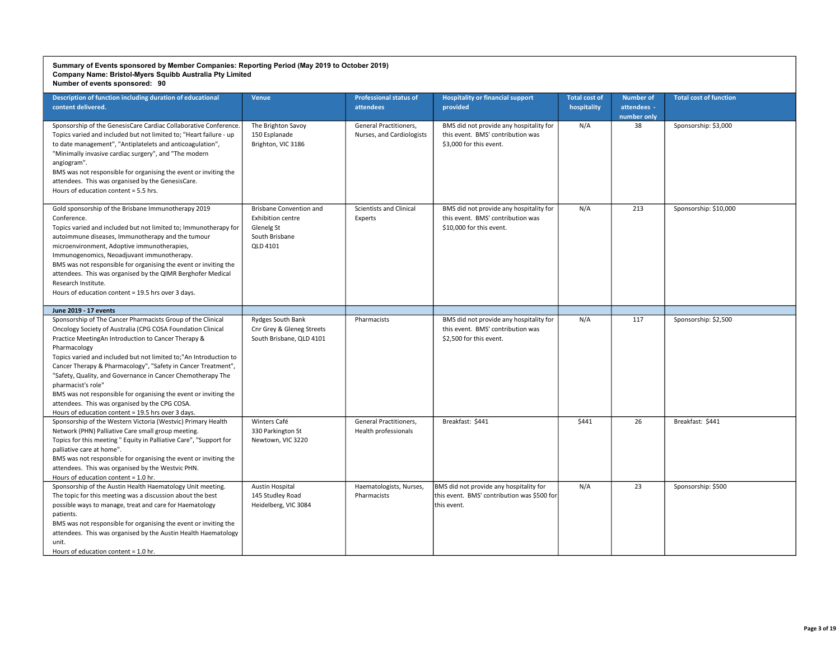| Description of function including duration of educational<br>content delivered.                                                                                                                                                                                                                                                                                                                                                                                                                                                                                                                          | Venue                                                                                                  | <b>Professional status of</b><br>attendees          | <b>Hospitality or financial support</b><br>provided                                                      | <b>Total cost of</b><br>hospitality | <b>Number of</b><br>attendees -<br>number only | <b>Total cost of function</b> |
|----------------------------------------------------------------------------------------------------------------------------------------------------------------------------------------------------------------------------------------------------------------------------------------------------------------------------------------------------------------------------------------------------------------------------------------------------------------------------------------------------------------------------------------------------------------------------------------------------------|--------------------------------------------------------------------------------------------------------|-----------------------------------------------------|----------------------------------------------------------------------------------------------------------|-------------------------------------|------------------------------------------------|-------------------------------|
| Sponsorship of the GenesisCare Cardiac Collaborative Conference.<br>Topics varied and included but not limited to; "Heart failure - up<br>to date management", "Antiplatelets and anticoagulation",<br>"Minimally invasive cardiac surgery", and "The modern<br>angiogram".<br>BMS was not responsible for organising the event or inviting the<br>attendees. This was organised by the GenesisCare.<br>Hours of education content = 5.5 hrs.                                                                                                                                                            | The Brighton Savoy<br>150 Esplanade<br>Brighton, VIC 3186                                              | General Practitioners,<br>Nurses, and Cardiologists | BMS did not provide any hospitality for<br>this event. BMS' contribution was<br>\$3.000 for this event.  | N/A                                 | 38                                             | Sponsorship: \$3,000          |
| Gold sponsorship of the Brisbane Immunotherapy 2019<br>Conference.<br>Topics varied and included but not limited to; Immunotherapy for<br>autoimmune diseases, Immunotherapy and the tumour<br>microenvironment, Adoptive immunotherapies,<br>Immunogenomics, Neoadjuvant immunotherapy.<br>BMS was not responsible for organising the event or inviting the<br>attendees. This was organised by the QIMR Berghofer Medical<br>Research Institute.<br>Hours of education content = 19.5 hrs over 3 days.                                                                                                 | <b>Brisbane Convention and</b><br><b>Exhibition centre</b><br>Glenelg St<br>South Brisbane<br>QLD 4101 | <b>Scientists and Clinical</b><br>Experts           | BMS did not provide any hospitality for<br>this event. BMS' contribution was<br>\$10,000 for this event. | N/A                                 | 213                                            | Sponsorship: \$10,000         |
| June 2019 - 17 events                                                                                                                                                                                                                                                                                                                                                                                                                                                                                                                                                                                    |                                                                                                        |                                                     |                                                                                                          |                                     |                                                |                               |
| Sponsorship of The Cancer Pharmacists Group of the Clinical<br>Oncology Society of Australia (CPG COSA Foundation Clinical<br>Practice MeetingAn Introduction to Cancer Therapy &<br>Pharmacology<br>Topics varied and included but not limited to;"An Introduction to<br>Cancer Therapy & Pharmacology", "Safety in Cancer Treatment",<br>"Safety, Quality, and Governance in Cancer Chemotherapy The<br>pharmacist's role"<br>BMS was not responsible for organising the event or inviting the<br>attendees. This was organised by the CPG COSA.<br>Hours of education content = 19.5 hrs over 3 days. | Rydges South Bank<br>Cnr Grey & Gleneg Streets<br>South Brisbane, QLD 4101                             | Pharmacists                                         | BMS did not provide any hospitality for<br>this event. BMS' contribution was<br>\$2,500 for this event.  | N/A                                 | 117                                            | Sponsorship: \$2,500          |
| Sponsorship of the Western Victoria (Westvic) Primary Health<br>Network (PHN) Palliative Care small group meeting.<br>Topics for this meeting " Equity in Palliative Care", "Support for<br>palliative care at home".<br>BMS was not responsible for organising the event or inviting the<br>attendees. This was organised by the Westvic PHN.<br>Hours of education content = 1.0 hr.                                                                                                                                                                                                                   | Winters Café<br>330 Parkington St<br>Newtown, VIC 3220                                                 | General Practitioners,<br>Health professionals      | Breakfast: \$441                                                                                         | \$441                               | 26                                             | Breakfast: \$441              |
| Sponsorship of the Austin Health Haematology Unit meeting.<br>The topic for this meeting was a discussion about the best<br>possible ways to manage, treat and care for Haematology<br>patients.<br>BMS was not responsible for organising the event or inviting the<br>attendees. This was organised by the Austin Health Haematology<br>unit.<br>Hours of education content = 1.0 hr.                                                                                                                                                                                                                  | <b>Austin Hospital</b><br>145 Studley Road<br>Heidelberg, VIC 3084                                     | Haematologists, Nurses,<br>Pharmacists              | BMS did not provide any hospitality for<br>this event. BMS' contribution was \$500 for<br>this event.    | N/A                                 | 23                                             | Sponsorship: \$500            |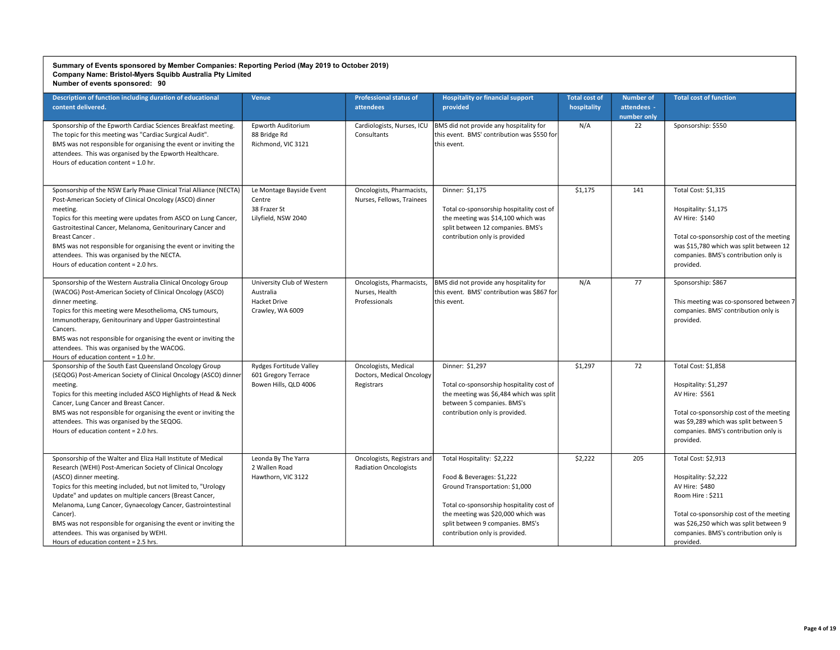| Description of function including duration of educational<br>content delivered.                                                                                                                                                                                                                                                                                                                                                                                                                                      | <b>Venue</b>                                                                | <b>Professional status of</b><br>attendees                      | <b>Hospitality or financial support</b><br>provided                                                                                                                                                                                               | <b>Total cost of</b><br>hospitality | <b>Number of</b><br>attendees -<br>number only | <b>Total cost of function</b>                                                                                                                                                                                                 |
|----------------------------------------------------------------------------------------------------------------------------------------------------------------------------------------------------------------------------------------------------------------------------------------------------------------------------------------------------------------------------------------------------------------------------------------------------------------------------------------------------------------------|-----------------------------------------------------------------------------|-----------------------------------------------------------------|---------------------------------------------------------------------------------------------------------------------------------------------------------------------------------------------------------------------------------------------------|-------------------------------------|------------------------------------------------|-------------------------------------------------------------------------------------------------------------------------------------------------------------------------------------------------------------------------------|
| Sponsorship of the Epworth Cardiac Sciences Breakfast meeting.<br>The topic for this meeting was "Cardiac Surgical Audit".<br>BMS was not responsible for organising the event or inviting the<br>attendees. This was organised by the Epworth Healthcare.<br>Hours of education content = 1.0 hr.                                                                                                                                                                                                                   | Epworth Auditorium<br>88 Bridge Rd<br>Richmond, VIC 3121                    | Cardiologists, Nurses, ICU<br>Consultants                       | BMS did not provide any hospitality for<br>this event. BMS' contribution was \$550 for<br>this event.                                                                                                                                             | N/A                                 | 22                                             | Sponsorship: \$550                                                                                                                                                                                                            |
| Sponsorship of the NSW Early Phase Clinical Trial Alliance (NECTA)<br>Post-American Society of Clinical Oncology (ASCO) dinner<br>meeting.<br>Topics for this meeting were updates from ASCO on Lung Cancer,<br>Gastroitestinal Cancer, Melanoma, Genitourinary Cancer and<br>Breast Cancer.<br>BMS was not responsible for organising the event or inviting the<br>attendees. This was organised by the NECTA.<br>Hours of education content = 2.0 hrs.                                                             | Le Montage Bayside Event<br>Centre<br>38 Frazer St<br>Lilyfield, NSW 2040   | Oncologists, Pharmacists,<br>Nurses, Fellows, Trainees          | Dinner: \$1,175<br>Total co-sponsorship hospitality cost of<br>the meeting was \$14,100 which was<br>split between 12 companies. BMS's<br>contribution only is provided                                                                           | \$1,175                             | 141                                            | Total Cost: \$1,315<br>Hospitality: \$1,175<br>AV Hire: \$140<br>Total co-sponsorship cost of the meeting<br>was \$15,780 which was split between 12<br>companies. BMS's contribution only is<br>provided.                    |
| Sponsorship of the Western Australia Clinical Oncology Group<br>(WACOG) Post-American Society of Clinical Oncology (ASCO)<br>dinner meeting.<br>Topics for this meeting were Mesothelioma, CNS tumours,<br>Immunotherapy, Genitourinary and Upper Gastrointestinal<br>Cancers.<br>BMS was not responsible for organising the event or inviting the<br>attendees. This was organised by the WACOG.<br>Hours of education content = 1.0 hr.                                                                            | University Club of Western<br>Australia<br>Hacket Drive<br>Crawley, WA 6009 | Oncologists, Pharmacists,<br>Nurses, Health<br>Professionals    | BMS did not provide any hospitality for<br>this event. BMS' contribution was \$867 for<br>this event.                                                                                                                                             | N/A                                 | 77                                             | Sponsorship: \$867<br>This meeting was co-sponsored between 7<br>companies. BMS' contribution only is<br>provided.                                                                                                            |
| Sponsorship of the South East Queensland Oncology Group<br>(SEQOG) Post-American Society of Clinical Oncology (ASCO) dinner<br>meeting.<br>Topics for this meeting included ASCO Highlights of Head & Neck<br>Cancer, Lung Cancer and Breast Cancer.<br>BMS was not responsible for organising the event or inviting the<br>attendees. This was organised by the SEQOG.<br>Hours of education content = 2.0 hrs.                                                                                                     | Rydges Fortitude Valley<br>601 Gregory Terrace<br>Bowen Hills, QLD 4006     | Oncologists, Medical<br>Doctors, Medical Oncology<br>Registrars | Dinner: \$1,297<br>Total co-sponsorship hospitality cost of<br>the meeting was \$6,484 which was split<br>between 5 companies. BMS's<br>contribution only is provided.                                                                            | \$1,297                             | 72                                             | Total Cost: \$1,858<br>Hospitality: \$1,297<br>AV Hire: \$561<br>Total co-sponsorship cost of the meeting<br>was \$9,289 which was split between 5<br>companies. BMS's contribution only is<br>provided.                      |
| Sponsorship of the Walter and Eliza Hall Institute of Medical<br>Research (WEHI) Post-American Society of Clinical Oncology<br>(ASCO) dinner meeting.<br>Topics for this meeting included, but not limited to, "Urology<br>Update" and updates on multiple cancers (Breast Cancer,<br>Melanoma, Lung Cancer, Gynaecology Cancer, Gastrointestinal<br>Cancer).<br>BMS was not responsible for organising the event or inviting the<br>attendees. This was organised by WEHI.<br>Hours of education content = 2.5 hrs. | Leonda By The Yarra<br>2 Wallen Road<br>Hawthorn, VIC 3122                  | Oncologists, Registrars and<br><b>Radiation Oncologists</b>     | Total Hospitality: \$2,222<br>Food & Beverages: \$1,222<br>Ground Transportation: \$1,000<br>Total co-sponsorship hospitality cost of<br>the meeting was \$20,000 which was<br>split between 9 companies. BMS's<br>contribution only is provided. | \$2,222                             | 205                                            | Total Cost: \$2,913<br>Hospitality: \$2,222<br>AV Hire: \$480<br>Room Hire: \$211<br>Total co-sponsorship cost of the meeting<br>was \$26,250 which was split between 9<br>companies. BMS's contribution only is<br>provided. |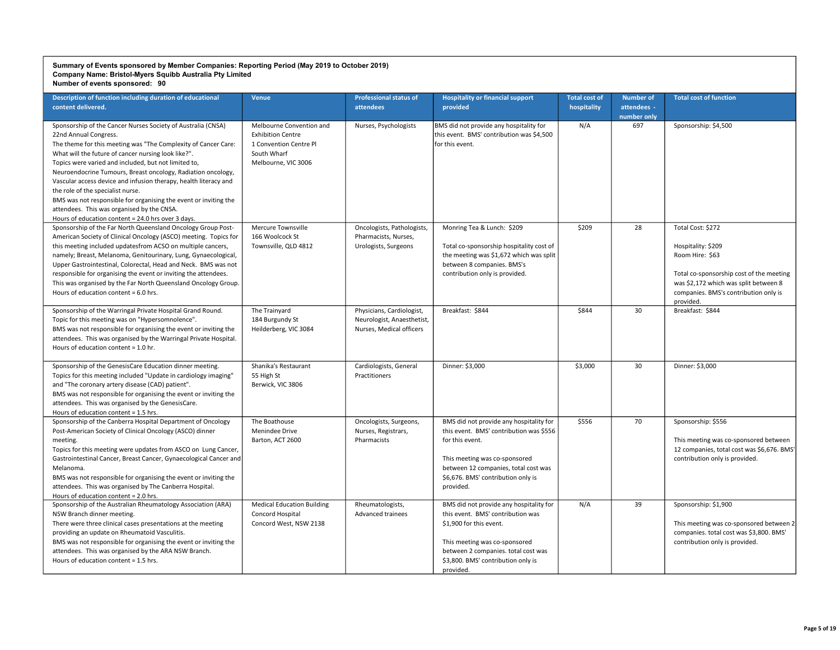| Description of function including duration of educational<br>content delivered.                                                                                                                                                                                                                                                                                                                                                                                                                                                                                                                                         | Venue                                                                                                                | <b>Professional status of</b><br><b>attendees</b>                                   | <b>Hospitality or financial support</b><br>provided                                                                                                                                                                                | <b>Total cost of</b><br>hospitality | <b>Number of</b><br>attendees -<br>number only | <b>Total cost of function</b>                                                                                                                                                                         |
|-------------------------------------------------------------------------------------------------------------------------------------------------------------------------------------------------------------------------------------------------------------------------------------------------------------------------------------------------------------------------------------------------------------------------------------------------------------------------------------------------------------------------------------------------------------------------------------------------------------------------|----------------------------------------------------------------------------------------------------------------------|-------------------------------------------------------------------------------------|------------------------------------------------------------------------------------------------------------------------------------------------------------------------------------------------------------------------------------|-------------------------------------|------------------------------------------------|-------------------------------------------------------------------------------------------------------------------------------------------------------------------------------------------------------|
| Sponsorship of the Cancer Nurses Society of Australia (CNSA)<br>22nd Annual Congress.<br>The theme for this meeting was "The Complexity of Cancer Care:<br>What will the future of cancer nursing look like?".<br>Topics were varied and included, but not limited to,<br>Neuroendocrine Tumours, Breast oncology, Radiation oncology,<br>Vascular access device and infusion therapy, health literacy and<br>the role of the specialist nurse.<br>BMS was not responsible for organising the event or inviting the<br>attendees. This was organised by the CNSA.<br>Hours of education content = 24.0 hrs over 3 days. | Melbourne Convention and<br><b>Exhibition Centre</b><br>1 Convention Centre Pl<br>South Wharf<br>Melbourne, VIC 3006 | Nurses, Psychologists                                                               | BMS did not provide any hospitality for<br>this event. BMS' contribution was \$4,500<br>for this event.                                                                                                                            | N/A                                 | 697                                            | Sponsorship: \$4,500                                                                                                                                                                                  |
| Sponsorship of the Far North Queensland Oncology Group Post-<br>American Society of Clinical Oncology (ASCO) meeting. Topics for<br>this meeting included updatesfrom ACSO on multiple cancers,<br>namely; Breast, Melanoma, Genitourinary, Lung, Gynaecological,<br>Upper Gastrointestinal, Colorectal, Head and Neck. BMS was not<br>responsible for organising the event or inviting the attendees.<br>This was organised by the Far North Queensland Oncology Group.<br>Hours of education content = $6.0$ hrs.                                                                                                     | Mercure Townsville<br>166 Woolcock St<br>Townsville, QLD 4812                                                        | Oncologists, Pathologists,<br>Pharmacists, Nurses,<br>Urologists, Surgeons          | Monring Tea & Lunch: \$209<br>Total co-sponsorship hospitality cost of<br>the meeting was \$1,672 which was split<br>between 8 companies. BMS's<br>contribution only is provided.                                                  | \$209                               | 28                                             | Total Cost: \$272<br>Hospitality: \$209<br>Room Hire: \$63<br>Total co-sponsorship cost of the meeting<br>was \$2,172 which was split between 8<br>companies. BMS's contribution only is<br>provided. |
| Sponsorship of the Warringal Private Hospital Grand Round.<br>Topic for this meeting was on "Hypersomnolence".<br>BMS was not responsible for organising the event or inviting the<br>attendees. This was organised by the Warringal Private Hospital.<br>Hours of education content = 1.0 hr.                                                                                                                                                                                                                                                                                                                          | The Trainyard<br>184 Burgundy St<br>Heilderberg, VIC 3084                                                            | Physicians, Cardiologist,<br>Neurologist, Anaesthetist,<br>Nurses, Medical officers | Breakfast: \$844                                                                                                                                                                                                                   | \$844                               | 30                                             | Breakfast: \$844                                                                                                                                                                                      |
| Sponsorship of the GenesisCare Education dinner meeting.<br>Topics for this meeting included "Update in cardiology imaging"<br>and "The coronary artery disease (CAD) patient".<br>BMS was not responsible for organising the event or inviting the<br>attendees. This was organised by the GenesisCare.<br>Hours of education content = 1.5 hrs.                                                                                                                                                                                                                                                                       | Shanika's Restaurant<br>55 High St<br>Berwick, VIC 3806                                                              | Cardiologists, General<br>Practitioners                                             | Dinner: \$3,000                                                                                                                                                                                                                    | \$3,000                             | 30                                             | Dinner: \$3,000                                                                                                                                                                                       |
| Sponsorship of the Canberra Hospital Department of Oncology<br>Post-American Society of Clinical Oncology (ASCO) dinner<br>meeting.<br>Topics for this meeting were updates from ASCO on Lung Cancer,<br>Gastrointestinal Cancer, Breast Cancer, Gynaecological Cancer and<br>Melanoma.<br>BMS was not responsible for organising the event or inviting the<br>attendees. This was organised by The Canberra Hospital.<br>Hours of education content = 2.0 hrs.                                                                                                                                                         | The Boathouse<br>Menindee Drive<br>Barton, ACT 2600                                                                  | Oncologists, Surgeons,<br>Nurses, Registrars,<br>Pharmacists                        | BMS did not provide any hospitality for<br>this event. BMS' contribution was \$556<br>for this event.<br>This meeting was co-sponsored<br>between 12 companies, total cost was<br>\$6,676. BMS' contribution only is<br>provided.  | \$556                               | 70                                             | Sponsorship: \$556<br>This meeting was co-sponsored between<br>12 companies, total cost was \$6,676. BMS'<br>contribution only is provided.                                                           |
| Sponsorship of the Australian Rheumatology Association (ARA)<br>NSW Branch dinner meeting.<br>There were three clinical cases presentations at the meeting<br>providing an update on Rheumatoid Vasculitis.<br>BMS was not responsible for organising the event or inviting the<br>attendees. This was organised by the ARA NSW Branch.<br>Hours of education content = 1.5 hrs.                                                                                                                                                                                                                                        | <b>Medical Education Building</b><br>Concord Hospital<br>Concord West, NSW 2138                                      | Rheumatologists,<br><b>Advanced trainees</b>                                        | BMS did not provide any hospitality for<br>this event. BMS' contribution was<br>\$1,900 for this event.<br>This meeting was co-sponsored<br>between 2 companies. total cost was<br>\$3,800. BMS' contribution only is<br>provided. | N/A                                 | 39                                             | Sponsorship: \$1,900<br>This meeting was co-sponsored between 2<br>companies. total cost was \$3,800. BMS'<br>contribution only is provided.                                                          |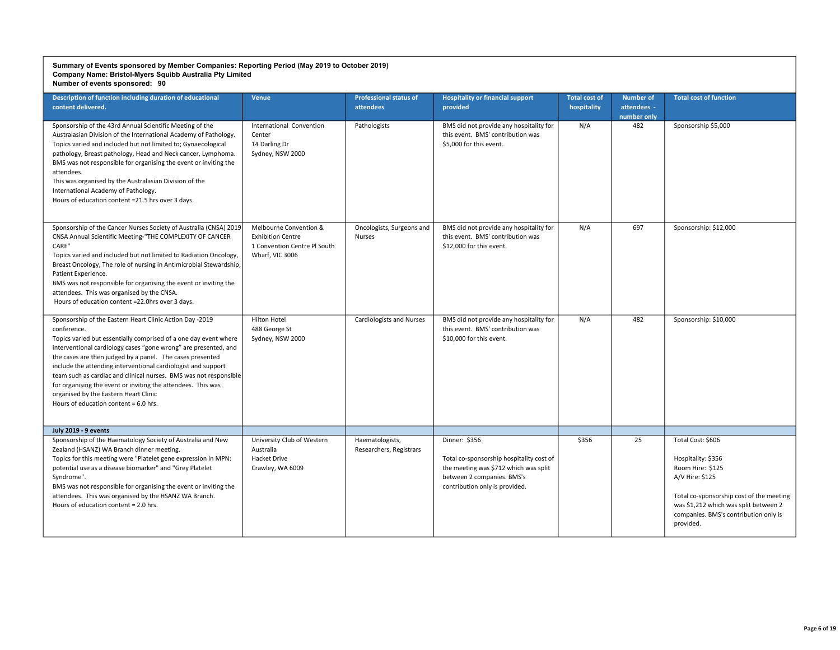| Description of function including duration of educational<br>content delivered.                                                                                                                                                                                                                                                                                                                                                                                                                                                                                     | <b>Venue</b>                                                                                          | <b>Professional status of</b><br>attendees | <b>Hospitality or financial support</b><br>provided                                                                                                                | <b>Total cost of</b><br>hospitality | <b>Number of</b><br>attendees -<br>number only | <b>Total cost of function</b>                                                                                                                                                                                             |
|---------------------------------------------------------------------------------------------------------------------------------------------------------------------------------------------------------------------------------------------------------------------------------------------------------------------------------------------------------------------------------------------------------------------------------------------------------------------------------------------------------------------------------------------------------------------|-------------------------------------------------------------------------------------------------------|--------------------------------------------|--------------------------------------------------------------------------------------------------------------------------------------------------------------------|-------------------------------------|------------------------------------------------|---------------------------------------------------------------------------------------------------------------------------------------------------------------------------------------------------------------------------|
| Sponsorship of the 43rd Annual Scientific Meeting of the<br>Australasian Division of the International Academy of Pathology.<br>Topics varied and included but not limited to; Gynaecological<br>pathology, Breast pathology, Head and Neck cancer, Lymphoma.<br>BMS was not responsible for organising the event or inviting the<br>attendees.<br>This was organised by the Australasian Division of the<br>International Academy of Pathology.<br>Hours of education content =21.5 hrs over 3 days.                                                               | International Convention<br>Center<br>14 Darling Dr<br>Sydney, NSW 2000                               | Pathologists                               | BMS did not provide any hospitality for<br>this event. BMS' contribution was<br>\$5.000 for this event.                                                            | N/A                                 | 482                                            | Sponsorship \$5,000                                                                                                                                                                                                       |
| Sponsorship of the Cancer Nurses Society of Australia (CNSA) 2019<br>CNSA Annual Scientific Meeting-"THE COMPLEXITY OF CANCER<br>CARE"<br>Topics varied and included but not limited to Radiation Oncology,<br>Breast Oncology, The role of nursing in Antimicrobial Stewardship,<br>Patient Experience.<br>BMS was not responsible for organising the event or inviting the<br>attendees. This was organised by the CNSA.<br>Hours of education content =22.0hrs over 3 days.                                                                                      | Melbourne Convention &<br><b>Exhibition Centre</b><br>1 Convention Centre Pl South<br>Wharf, VIC 3006 | Oncologists, Surgeons and<br><b>Nurses</b> | BMS did not provide any hospitality for<br>this event. BMS' contribution was<br>\$12,000 for this event.                                                           | N/A                                 | 697                                            | Sponsorship: \$12,000                                                                                                                                                                                                     |
| Sponsorship of the Eastern Heart Clinic Action Day -2019<br>conference.<br>Topics varied but essentially comprised of a one day event where<br>interventional cardiology cases "gone wrong" are presented, and<br>the cases are then judged by a panel. The cases presented<br>include the attending interventional cardiologist and support<br>team such as cardiac and clinical nurses. BMS was not responsible<br>for organising the event or inviting the attendees. This was<br>organised by the Eastern Heart Clinic<br>Hours of education content = 6.0 hrs. | Hilton Hotel<br>488 George St<br>Sydney, NSW 2000                                                     | <b>Cardiologists and Nurses</b>            | BMS did not provide any hospitality for<br>this event. BMS' contribution was<br>\$10,000 for this event.                                                           | N/A                                 | 482                                            | Sponsorship: \$10,000                                                                                                                                                                                                     |
| <b>July 2019 - 9 events</b>                                                                                                                                                                                                                                                                                                                                                                                                                                                                                                                                         |                                                                                                       |                                            |                                                                                                                                                                    |                                     |                                                |                                                                                                                                                                                                                           |
| Sponsorship of the Haematology Society of Australia and New<br>Zealand (HSANZ) WA Branch dinner meeting.<br>Topics for this meeting were "Platelet gene expression in MPN:<br>potential use as a disease biomarker" and "Grey Platelet<br>Syndrome".<br>BMS was not responsible for organising the event or inviting the<br>attendees. This was organised by the HSANZ WA Branch.<br>Hours of education content = 2.0 hrs.                                                                                                                                          | University Club of Western<br>Australia<br>Hacket Drive<br>Crawley, WA 6009                           | Haematologists,<br>Researchers, Registrars | Dinner: \$356<br>Total co-sponsorship hospitality cost of<br>the meeting was \$712 which was split<br>between 2 companies. BMS's<br>contribution only is provided. | \$356                               | 25                                             | Total Cost: \$606<br>Hospitality: \$356<br>Room Hire: \$125<br>A/V Hire: \$125<br>Total co-sponsorship cost of the meeting<br>was \$1,212 which was split between 2<br>companies. BMS's contribution only is<br>provided. |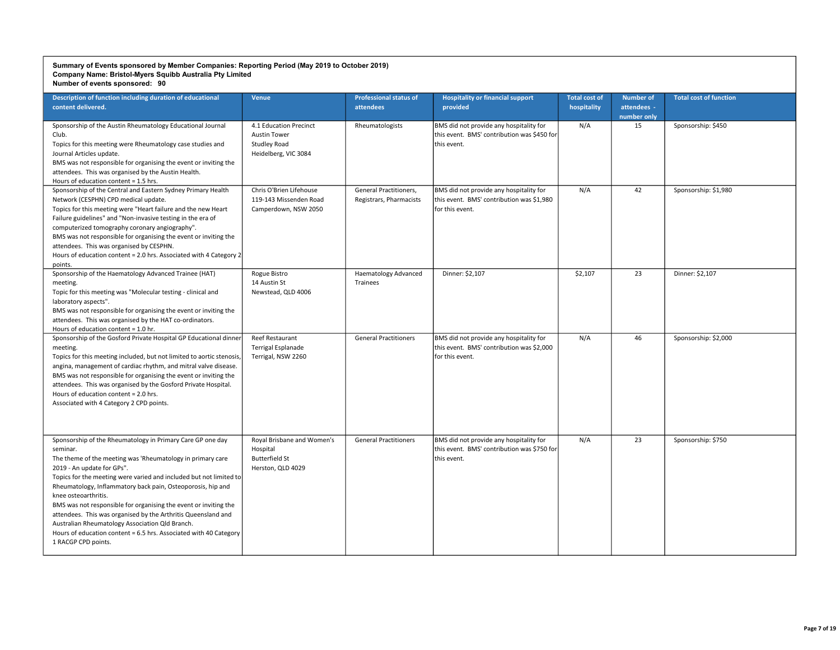| Description of function including duration of educational<br>content delivered.                                                                                                                                                                                                                                                                                                                                                                                                                                                                                                                                     | <b>Venue</b>                                                                                 | <b>Professional status of</b><br>attendees        | <b>Hospitality or financial support</b><br>provided                                                     | <b>Total cost of</b><br>hospitality | <b>Number of</b><br>attendees -<br>number only | <b>Total cost of function</b> |
|---------------------------------------------------------------------------------------------------------------------------------------------------------------------------------------------------------------------------------------------------------------------------------------------------------------------------------------------------------------------------------------------------------------------------------------------------------------------------------------------------------------------------------------------------------------------------------------------------------------------|----------------------------------------------------------------------------------------------|---------------------------------------------------|---------------------------------------------------------------------------------------------------------|-------------------------------------|------------------------------------------------|-------------------------------|
| Sponsorship of the Austin Rheumatology Educational Journal<br>Club.<br>Topics for this meeting were Rheumatology case studies and<br>Journal Articles update.<br>BMS was not responsible for organising the event or inviting the<br>attendees. This was organised by the Austin Health.<br>Hours of education content = 1.5 hrs.                                                                                                                                                                                                                                                                                   | 4.1 Education Precinct<br><b>Austin Tower</b><br><b>Studley Road</b><br>Heidelberg, VIC 3084 | Rheumatologists                                   | BMS did not provide any hospitality for<br>this event. BMS' contribution was \$450 for<br>this event.   | N/A                                 | 15                                             | Sponsorship: \$450            |
| Sponsorship of the Central and Eastern Sydney Primary Health<br>Network (CESPHN) CPD medical update.<br>Topics for this meeting were "Heart failure and the new Heart<br>Failure guidelines" and "Non-invasive testing in the era of<br>computerized tomography coronary angiography".<br>BMS was not responsible for organising the event or inviting the<br>attendees. This was organised by CESPHN.<br>Hours of education content = 2.0 hrs. Associated with 4 Category 2<br>points.                                                                                                                             | Chris O'Brien Lifehouse<br>119-143 Missenden Road<br>Camperdown, NSW 2050                    | General Practitioners,<br>Registrars, Pharmacists | BMS did not provide any hospitality for<br>this event. BMS' contribution was \$1,980<br>for this event. | N/A                                 | 42                                             | Sponsorship: \$1,980          |
| Sponsorship of the Haematology Advanced Trainee (HAT)<br>meeting.<br>Topic for this meeting was "Molecular testing - clinical and<br>laboratory aspects".<br>BMS was not responsible for organising the event or inviting the<br>attendees. This was organised by the HAT co-ordinators.<br>Hours of education content = 1.0 hr.                                                                                                                                                                                                                                                                                    | Rogue Bistro<br>14 Austin St<br>Newstead, QLD 4006                                           | <b>Haematology Advanced</b><br>Trainees           | Dinner: \$2,107                                                                                         | \$2,107                             | 23                                             | Dinner: \$2,107               |
| Sponsorship of the Gosford Private Hospital GP Educational dinner<br>meeting.<br>Topics for this meeting included, but not limited to aortic stenosis,<br>angina, management of cardiac rhythm, and mitral valve disease.<br>BMS was not responsible for organising the event or inviting the<br>attendees. This was organised by the Gosford Private Hospital.<br>Hours of education content = 2.0 hrs.<br>Associated with 4 Category 2 CPD points.                                                                                                                                                                | Reef Restaurant<br><b>Terrigal Esplanade</b><br>Terrigal, NSW 2260                           | <b>General Practitioners</b>                      | BMS did not provide any hospitality for<br>this event. BMS' contribution was \$2,000<br>for this event. | N/A                                 | 46                                             | Sponsorship: \$2,000          |
| Sponsorship of the Rheumatology in Primary Care GP one day<br>seminar.<br>The theme of the meeting was 'Rheumatology in primary care<br>2019 - An update for GPs".<br>Topics for the meeting were varied and included but not limited to<br>Rheumatology, Inflammatory back pain, Osteoporosis, hip and<br>knee osteoarthritis.<br>BMS was not responsible for organising the event or inviting the<br>attendees. This was organised by the Arthritis Queensland and<br>Australian Rheumatology Association Qld Branch.<br>Hours of education content = 6.5 hrs. Associated with 40 Category<br>1 RACGP CPD points. | Royal Brisbane and Women's<br>Hospital<br><b>Butterfield St</b><br>Herston, QLD 4029         | <b>General Practitioners</b>                      | BMS did not provide any hospitality for<br>this event. BMS' contribution was \$750 for<br>this event.   | N/A                                 | 23                                             | Sponsorship: \$750            |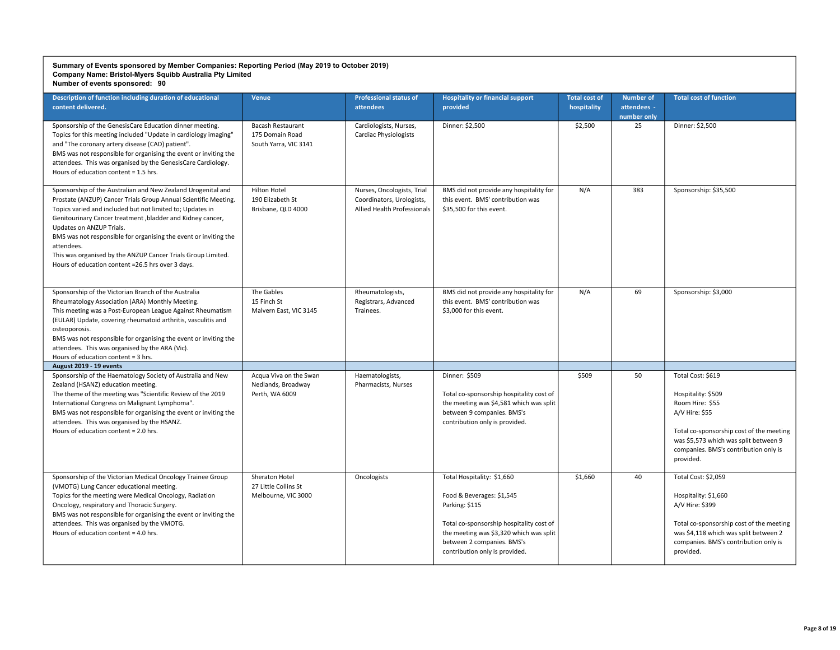| Description of function including duration of educational<br>content delivered.                                                                                                                                                                                                                                                                                                                                                                                                               | <b>Venue</b>                                                         | <b>Professional status of</b><br>attendees                                             | <b>Hospitality or financial support</b><br>provided                                                                                                                                                                              | <b>Total cost of</b><br>hospitality | <b>Number of</b><br>attendees -<br>number only | <b>Total cost of function</b>                                                                                                                                                                                           |
|-----------------------------------------------------------------------------------------------------------------------------------------------------------------------------------------------------------------------------------------------------------------------------------------------------------------------------------------------------------------------------------------------------------------------------------------------------------------------------------------------|----------------------------------------------------------------------|----------------------------------------------------------------------------------------|----------------------------------------------------------------------------------------------------------------------------------------------------------------------------------------------------------------------------------|-------------------------------------|------------------------------------------------|-------------------------------------------------------------------------------------------------------------------------------------------------------------------------------------------------------------------------|
| Sponsorship of the GenesisCare Education dinner meeting.<br>Topics for this meeting included "Update in cardiology imaging"<br>and "The coronary artery disease (CAD) patient".<br>BMS was not responsible for organising the event or inviting the<br>attendees. This was organised by the GenesisCare Cardiology.<br>Hours of education content = 1.5 hrs.                                                                                                                                  | <b>Bacash Restaurant</b><br>175 Domain Road<br>South Yarra, VIC 3141 | Cardiologists, Nurses,<br><b>Cardiac Physiologists</b>                                 | Dinner: \$2,500                                                                                                                                                                                                                  | \$2,500                             | 25                                             | Dinner: \$2,500                                                                                                                                                                                                         |
| Sponsorship of the Australian and New Zealand Urogenital and<br>Prostate (ANZUP) Cancer Trials Group Annual Scientific Meeting.<br>Topics varied and included but not limited to; Updates in<br>Genitourinary Cancer treatment, bladder and Kidney cancer,<br>Updates on ANZUP Trials.<br>BMS was not responsible for organising the event or inviting the<br>attendees.<br>This was organised by the ANZUP Cancer Trials Group Limited.<br>Hours of education content =26.5 hrs over 3 days. | Hilton Hotel<br>190 Elizabeth St<br>Brisbane, QLD 4000               | Nurses, Oncologists, Trial<br>Coordinators, Urologists,<br>Allied Health Professionals | BMS did not provide any hospitality for<br>this event. BMS' contribution was<br>\$35.500 for this event.                                                                                                                         | N/A                                 | 383                                            | Sponsorship: \$35,500                                                                                                                                                                                                   |
| Sponsorship of the Victorian Branch of the Australia<br>Rheumatology Association (ARA) Monthly Meeting.<br>This meeting was a Post-European League Against Rheumatism<br>(EULAR) Update, covering rheumatoid arthritis, vasculitis and<br>osteoporosis.<br>BMS was not responsible for organising the event or inviting the<br>attendees. This was organised by the ARA (Vic).<br>Hours of education content = 3 hrs.                                                                         | The Gables<br>15 Finch St<br>Malvern East, VIC 3145                  | Rheumatologists,<br>Registrars, Advanced<br>Trainees.                                  | BMS did not provide any hospitality for<br>this event. BMS' contribution was<br>\$3.000 for this event.                                                                                                                          | N/A                                 | 69                                             | Sponsorship: \$3,000                                                                                                                                                                                                    |
| August 2019 - 19 events                                                                                                                                                                                                                                                                                                                                                                                                                                                                       |                                                                      |                                                                                        |                                                                                                                                                                                                                                  |                                     |                                                |                                                                                                                                                                                                                         |
| Sponsorship of the Haematology Society of Australia and New<br>Zealand (HSANZ) education meeting.<br>The theme of the meeting was "Scientific Review of the 2019<br>International Congress on Malignant Lymphoma".<br>BMS was not responsible for organising the event or inviting the<br>attendees. This was organised by the HSANZ.<br>Hours of education content = 2.0 hrs.                                                                                                                | Acqua Viva on the Swan<br>Nedlands, Broadway<br>Perth, WA 6009       | Haematologists,<br>Pharmacists, Nurses                                                 | Dinner: \$509<br>Total co-sponsorship hospitality cost of<br>the meeting was \$4,581 which was split<br>between 9 companies. BMS's<br>contribution only is provided.                                                             | \$509                               | 50                                             | Total Cost: \$619<br>Hospitality: \$509<br>Room Hire: \$55<br>A/V Hire: \$55<br>Total co-sponsorship cost of the meeting<br>was \$5,573 which was split between 9<br>companies. BMS's contribution only is<br>provided. |
| Sponsorship of the Victorian Medical Oncology Trainee Group<br>(VMOTG) Lung Cancer educational meeting.<br>Topics for the meeting were Medical Oncology, Radiation<br>Oncology, respiratory and Thoracic Surgery.<br>BMS was not responsible for organising the event or inviting the<br>attendees. This was organised by the VMOTG.<br>Hours of education content = 4.0 hrs.                                                                                                                 | Sheraton Hotel<br>27 Little Collins St<br>Melbourne, VIC 3000        | Oncologists                                                                            | Total Hospitality: \$1,660<br>Food & Beverages: \$1,545<br>Parking: \$115<br>Total co-sponsorship hospitality cost of<br>the meeting was \$3,320 which was split<br>between 2 companies. BMS's<br>contribution only is provided. | \$1,660                             | 40                                             | Total Cost: \$2,059<br>Hospitality: \$1,660<br>A/V Hire: \$399<br>Total co-sponsorship cost of the meeting<br>was \$4,118 which was split between 2<br>companies. BMS's contribution only is<br>provided.               |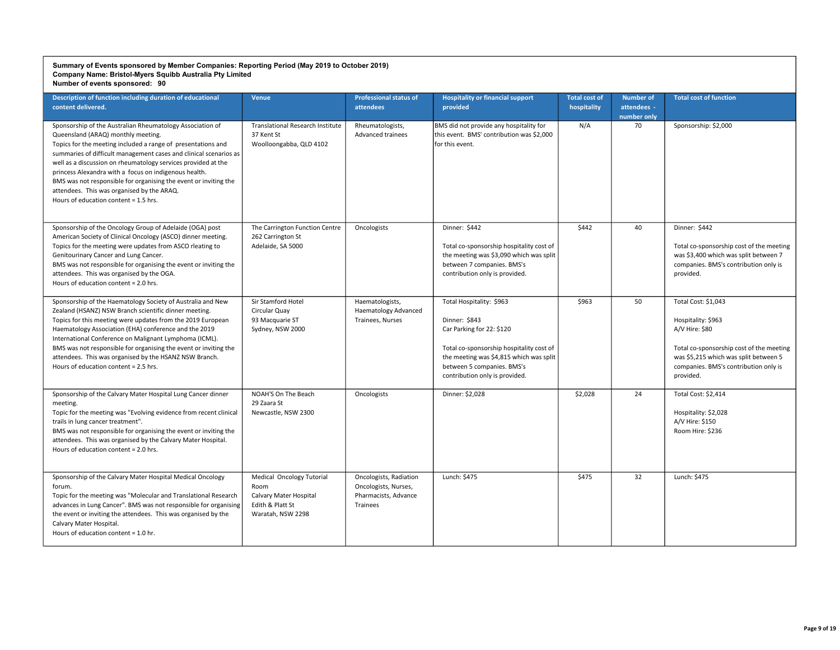| Description of function including duration of educational<br>content delivered.                                                                                                                                                                                                                                                                                                                                                                                                                                           | Venue                                                                                                | <b>Professional status of</b><br>attendees                                         | <b>Hospitality or financial support</b><br>provided                                                                                                                                                                           | <b>Total cost of</b><br>hospitality | <b>Number of</b><br>attendees -<br>number only | <b>Total cost of function</b>                                                                                                                                                                          |
|---------------------------------------------------------------------------------------------------------------------------------------------------------------------------------------------------------------------------------------------------------------------------------------------------------------------------------------------------------------------------------------------------------------------------------------------------------------------------------------------------------------------------|------------------------------------------------------------------------------------------------------|------------------------------------------------------------------------------------|-------------------------------------------------------------------------------------------------------------------------------------------------------------------------------------------------------------------------------|-------------------------------------|------------------------------------------------|--------------------------------------------------------------------------------------------------------------------------------------------------------------------------------------------------------|
| Sponsorship of the Australian Rheumatology Association of<br>Queensland (ARAQ) monthly meeting.<br>Topics for the meeting included a range of presentations and<br>summaries of difficult management cases and clinical scenarios as<br>well as a discussion on rheumatology services provided at the<br>princess Alexandra with a focus on indigenous health.<br>BMS was not responsible for organising the event or inviting the<br>attendees. This was organised by the ARAQ.<br>Hours of education content = 1.5 hrs. | <b>Translational Research Institute</b><br>37 Kent St<br>Woolloongabba, QLD 4102                     | Rheumatologists,<br>Advanced trainees                                              | BMS did not provide any hospitality for<br>this event. BMS' contribution was \$2,000<br>for this event.                                                                                                                       | N/A                                 | 70                                             | Sponsorship: \$2,000                                                                                                                                                                                   |
| Sponsorship of the Oncology Group of Adelaide (OGA) post<br>American Society of Clinical Oncology (ASCO) dinner meeting.<br>Topics for the meeting were updates from ASCO rleating to<br>Genitourinary Cancer and Lung Cancer.<br>BMS was not responsible for organising the event or inviting the<br>attendees. This was organised by the OGA.<br>Hours of education content = 2.0 hrs.                                                                                                                                  | The Carrington Function Centre<br>262 Carrington St<br>Adelaide, SA 5000                             | Oncologists                                                                        | Dinner: \$442<br>Total co-sponsorship hospitality cost of<br>the meeting was \$3,090 which was split<br>between 7 companies. BMS's<br>contribution only is provided.                                                          | \$442                               | 40                                             | Dinner: \$442<br>Total co-sponsorship cost of the meeting<br>was \$3,400 which was split between 7<br>companies. BMS's contribution only is<br>provided.                                               |
| Sponsorship of the Haematology Society of Australia and New<br>Zealand (HSANZ) NSW Branch scientific dinner meeting.<br>Topics for this meeting were updates from the 2019 European<br>Haematology Association (EHA) conference and the 2019<br>International Conference on Malignant Lymphoma (ICML).<br>BMS was not responsible for organising the event or inviting the<br>attendees. This was organised by the HSANZ NSW Branch.<br>Hours of education content = 2.5 hrs.                                             | Sir Stamford Hotel<br>Circular Quay<br>93 Macquarie ST<br>Sydney, NSW 2000                           | Haematologists,<br><b>Haematology Advanced</b><br>Trainees, Nurses                 | Total Hospitality: \$963<br>Dinner: \$843<br>Car Parking for 22: \$120<br>Total co-sponsorship hospitality cost of<br>the meeting was \$4,815 which was split<br>between 5 companies. BMS's<br>contribution only is provided. | \$963                               | 50                                             | Total Cost: \$1,043<br>Hospitality: \$963<br>A/V Hire: \$80<br>Total co-sponsorship cost of the meeting<br>was \$5,215 which was split between 5<br>companies. BMS's contribution only is<br>provided. |
| Sponsorship of the Calvary Mater Hospital Lung Cancer dinner<br>meeting.<br>Topic for the meeting was "Evolving evidence from recent clinical<br>trails in lung cancer treatment".<br>BMS was not responsible for organising the event or inviting the<br>attendees. This was organised by the Calvary Mater Hospital.<br>Hours of education content = 2.0 hrs.                                                                                                                                                           | NOAH'S On The Beach<br>29 Zaara St<br>Newcastle, NSW 2300                                            | Oncologists                                                                        | Dinner: \$2,028                                                                                                                                                                                                               | \$2,028                             | 24                                             | Total Cost: \$2,414<br>Hospitality: \$2,028<br>A/V Hire: \$150<br>Room Hire: \$236                                                                                                                     |
| Sponsorship of the Calvary Mater Hospital Medical Oncology<br>forum.<br>Topic for the meeting was "Molecular and Translational Research<br>advances in Lung Cancer". BMS was not responsible for organising<br>the event or inviting the attendees. This was organised by the<br>Calvary Mater Hospital.<br>Hours of education content = 1.0 hr.                                                                                                                                                                          | Medical Oncology Tutorial<br>Room<br>Calvary Mater Hospital<br>Edith & Platt St<br>Waratah, NSW 2298 | Oncologists, Radiation<br>Oncologists, Nurses,<br>Pharmacists, Advance<br>Trainees | Lunch: \$475                                                                                                                                                                                                                  | \$475                               | 32                                             | Lunch: \$475                                                                                                                                                                                           |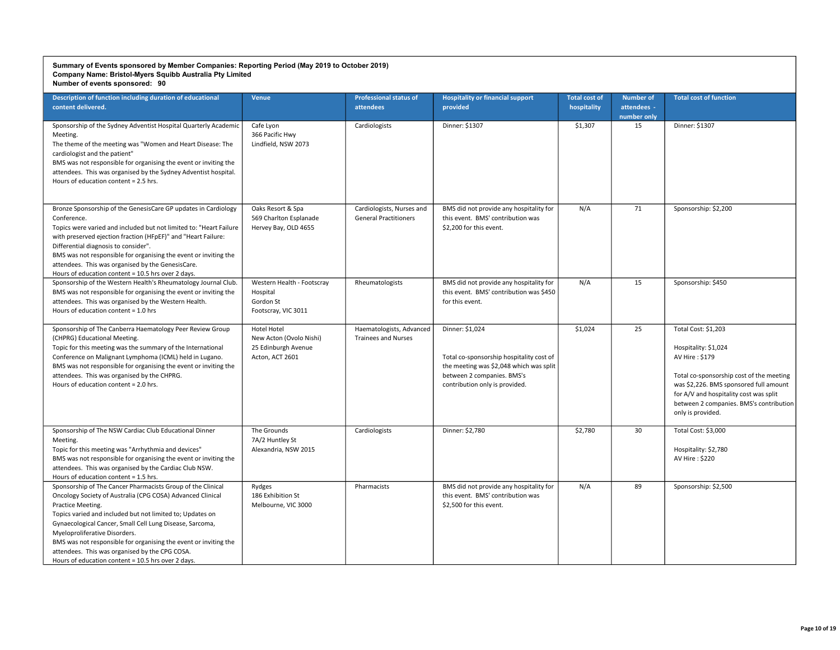| Description of function including duration of educational<br>content delivered.                                                                                                                                                                                                                                                                                                                                                                                                      | <b>Venue</b>                                                                     | <b>Professional status of</b><br><b>attendees</b>         | <b>Hospitality or financial support</b><br>provided                                                                                                                    | <b>Total cost of</b><br>hospitality | <b>Number of</b><br>attendees -<br>number only | <b>Total cost of function</b>                                                                                                                                                                                                                                 |
|--------------------------------------------------------------------------------------------------------------------------------------------------------------------------------------------------------------------------------------------------------------------------------------------------------------------------------------------------------------------------------------------------------------------------------------------------------------------------------------|----------------------------------------------------------------------------------|-----------------------------------------------------------|------------------------------------------------------------------------------------------------------------------------------------------------------------------------|-------------------------------------|------------------------------------------------|---------------------------------------------------------------------------------------------------------------------------------------------------------------------------------------------------------------------------------------------------------------|
| Sponsorship of the Sydney Adventist Hospital Quarterly Academic<br>Meeting.<br>The theme of the meeting was "Women and Heart Disease: The<br>cardiologist and the patient"<br>BMS was not responsible for organising the event or inviting the<br>attendees. This was organised by the Sydney Adventist hospital.<br>Hours of education content = 2.5 hrs.                                                                                                                           | Cafe Lyon<br>366 Pacific Hwy<br>Lindfield, NSW 2073                              | Cardiologists                                             | Dinner: \$1307                                                                                                                                                         | \$1,307                             | 15                                             | Dinner: \$1307                                                                                                                                                                                                                                                |
| Bronze Sponsorship of the GenesisCare GP updates in Cardiology<br>Conference.<br>Topics were varied and included but not limited to: "Heart Failure<br>with preserved ejection fraction (HFpEF)" and "Heart Failure:<br>Differential diagnosis to consider".<br>BMS was not responsible for organising the event or inviting the<br>attendees. This was organised by the GenesisCare.<br>Hours of education content = 10.5 hrs over 2 days.                                          | Oaks Resort & Spa<br>569 Charlton Esplanade<br>Hervey Bay, OLD 4655              | Cardiologists, Nurses and<br><b>General Practitioners</b> | BMS did not provide any hospitality for<br>this event. BMS' contribution was<br>\$2,200 for this event.                                                                | N/A                                 | 71                                             | Sponsorship: \$2,200                                                                                                                                                                                                                                          |
| Sponsorship of the Western Health's Rheumatology Journal Club.<br>BMS was not responsible for organising the event or inviting the<br>attendees. This was organised by the Western Health.<br>Hours of education content = $1.0$ hrs                                                                                                                                                                                                                                                 | Western Health - Footscray<br>Hospital<br>Gordon St<br>Footscray, VIC 3011       | Rheumatologists                                           | BMS did not provide any hospitality for<br>this event. BMS' contribution was \$450<br>for this event.                                                                  | N/A                                 | 15                                             | Sponsorship: \$450                                                                                                                                                                                                                                            |
| Sponsorship of The Canberra Haematology Peer Review Group<br>(CHPRG) Educational Meeting.<br>Topic for this meeting was the summary of the International<br>Conference on Malignant Lymphoma (ICML) held in Lugano.<br>BMS was not responsible for organising the event or inviting the<br>attendees. This was organised by the CHPRG.<br>Hours of education content = 2.0 hrs.                                                                                                      | Hotel Hotel<br>New Acton (Ovolo Nishi)<br>25 Edinburgh Avenue<br>Acton, ACT 2601 | Haematologists, Advanced<br><b>Trainees and Nurses</b>    | Dinner: \$1,024<br>Total co-sponsorship hospitality cost of<br>the meeting was \$2,048 which was split<br>between 2 companies. BMS's<br>contribution only is provided. | \$1,024                             | 25                                             | Total Cost: \$1,203<br>Hospitality: \$1,024<br>AV Hire: \$179<br>Total co-sponsorship cost of the meeting<br>was \$2,226. BMS sponsored full amount<br>for A/V and hospitality cost was split<br>between 2 companies. BMS's contribution<br>only is provided. |
| Sponsorship of The NSW Cardiac Club Educational Dinner<br>Meeting.<br>Topic for this meeting was "Arrhythmia and devices"<br>BMS was not responsible for organising the event or inviting the<br>attendees. This was organised by the Cardiac Club NSW.<br>Hours of education content = 1.5 hrs.                                                                                                                                                                                     | The Grounds<br>7A/2 Huntley St<br>Alexandria, NSW 2015                           | Cardiologists                                             | Dinner: \$2,780                                                                                                                                                        | \$2,780                             | 30 <sup>°</sup>                                | Total Cost: \$3,000<br>Hospitality: \$2,780<br>AV Hire: \$220                                                                                                                                                                                                 |
| Sponsorship of The Cancer Pharmacists Group of the Clinical<br>Oncology Society of Australia (CPG COSA) Advanced Clinical<br>Practice Meeting.<br>Topics varied and included but not limited to; Updates on<br>Gynaecological Cancer, Small Cell Lung Disease, Sarcoma,<br>Myeloproliferative Disorders.<br>BMS was not responsible for organising the event or inviting the<br>attendees. This was organised by the CPG COSA.<br>Hours of education content = 10.5 hrs over 2 days. | Rydges<br>186 Exhibition St<br>Melbourne, VIC 3000                               | Pharmacists                                               | BMS did not provide any hospitality for<br>this event. BMS' contribution was<br>\$2,500 for this event.                                                                | N/A                                 | 89                                             | Sponsorship: \$2,500                                                                                                                                                                                                                                          |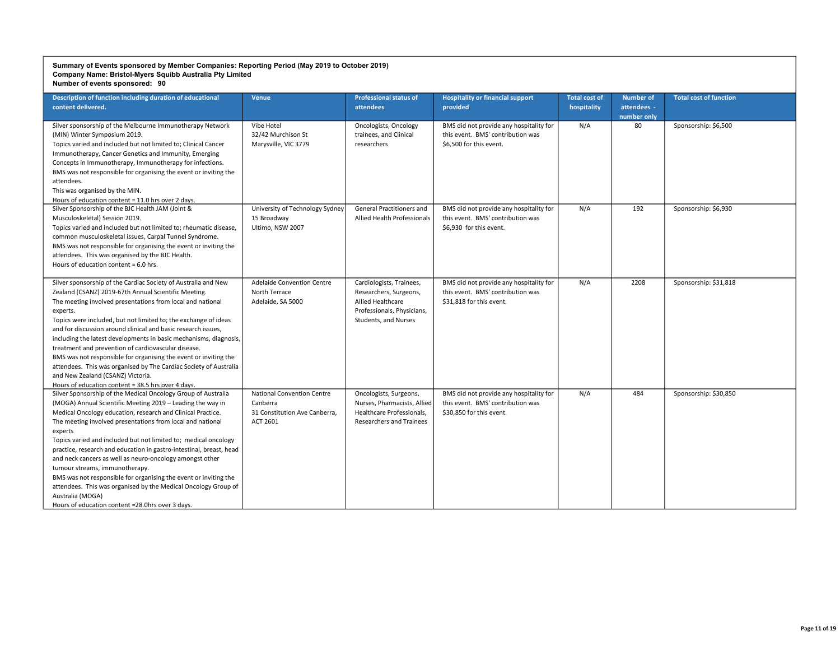| Description of function including duration of educational<br>content delivered.                                                                                                                                                                                                                                                                                                                                                                                                                                                                                                                                                                                                                                           | Venue                                                                                      | <b>Professional status of</b><br>attendees                                                                                           | <b>Hospitality or financial support</b><br>provided                                                      | <b>Total cost of</b><br>hospitality | <b>Number of</b><br>attendees -<br>number only | <b>Total cost of function</b> |
|---------------------------------------------------------------------------------------------------------------------------------------------------------------------------------------------------------------------------------------------------------------------------------------------------------------------------------------------------------------------------------------------------------------------------------------------------------------------------------------------------------------------------------------------------------------------------------------------------------------------------------------------------------------------------------------------------------------------------|--------------------------------------------------------------------------------------------|--------------------------------------------------------------------------------------------------------------------------------------|----------------------------------------------------------------------------------------------------------|-------------------------------------|------------------------------------------------|-------------------------------|
| Silver sponsorship of the Melbourne Immunotherapy Network<br>(MIN) Winter Symposium 2019.<br>Topics varied and included but not limited to; Clinical Cancer<br>Immunotherapy, Cancer Genetics and Immunity, Emerging<br>Concepts in Immunotherapy, Immunotherapy for infections.<br>BMS was not responsible for organising the event or inviting the<br>attendees.<br>This was organised by the MIN.<br>Hours of education content = 11.0 hrs over 2 days.                                                                                                                                                                                                                                                                | Vibe Hotel<br>32/42 Murchison St<br>Marysville, VIC 3779                                   | Oncologists, Oncology<br>trainees, and Clinical<br>researchers                                                                       | BMS did not provide any hospitality for<br>this event. BMS' contribution was<br>\$6.500 for this event.  | N/A                                 | 80                                             | Sponsorship: \$6,500          |
| Silver Sponsorship of the BJC Health JAM (Joint &<br>Musculoskeletal) Session 2019.<br>Topics varied and included but not limited to; rheumatic disease,<br>common musculoskeletal issues, Carpal Tunnel Syndrome.<br>BMS was not responsible for organising the event or inviting the<br>attendees. This was organised by the BJC Health.<br>Hours of education content = 6.0 hrs.                                                                                                                                                                                                                                                                                                                                       | University of Technology Sydney<br>15 Broadway<br>Ultimo, NSW 2007                         | General Practitioners and<br>Allied Health Professionals                                                                             | BMS did not provide any hospitality for<br>this event. BMS' contribution was<br>\$6.930 for this event.  | N/A                                 | 192                                            | Sponsorship: \$6,930          |
| Silver sponsorship of the Cardiac Society of Australia and New<br>Zealand (CSANZ) 2019-67th Annual Scientific Meeting.<br>The meeting involved presentations from local and national<br>experts.<br>Topics were included, but not limited to; the exchange of ideas<br>and for discussion around clinical and basic research issues,<br>including the latest developments in basic mechanisms, diagnosis,<br>treatment and prevention of cardiovascular disease.<br>BMS was not responsible for organising the event or inviting the<br>attendees. This was organised by The Cardiac Society of Australia<br>and New Zealand (CSANZ) Victoria.<br>Hours of education content = 38.5 hrs over 4 days.                      | <b>Adelaide Convention Centre</b><br>North Terrace<br>Adelaide, SA 5000                    | Cardiologists, Trainees,<br>Researchers, Surgeons,<br><b>Allied Healthcare</b><br>Professionals, Physicians,<br>Students, and Nurses | BMS did not provide any hospitality for<br>this event. BMS' contribution was<br>\$31.818 for this event. | N/A                                 | 2208                                           | Sponsorship: \$31,818         |
| Silver Sponsorship of the Medical Oncology Group of Australia<br>(MOGA) Annual Scientific Meeting 2019 - Leading the way in<br>Medical Oncology education, research and Clinical Practice.<br>The meeting involved presentations from local and national<br>experts<br>Topics varied and included but not limited to; medical oncology<br>practice, research and education in gastro-intestinal, breast, head<br>and neck cancers as well as neuro-oncology amongst other<br>tumour streams, immunotherapy.<br>BMS was not responsible for organising the event or inviting the<br>attendees. This was organised by the Medical Oncology Group of<br>Australia (MOGA)<br>Hours of education content =28.0hrs over 3 days. | <b>National Convention Centre</b><br>Canberra<br>31 Constitution Ave Canberra,<br>ACT 2601 | Oncologists, Surgeons,<br>Nurses, Pharmacists, Allied<br>Healthcare Professionals,<br><b>Researchers and Trainees</b>                | BMS did not provide any hospitality for<br>this event. BMS' contribution was<br>\$30,850 for this event. | N/A                                 | 484                                            | Sponsorship: \$30,850         |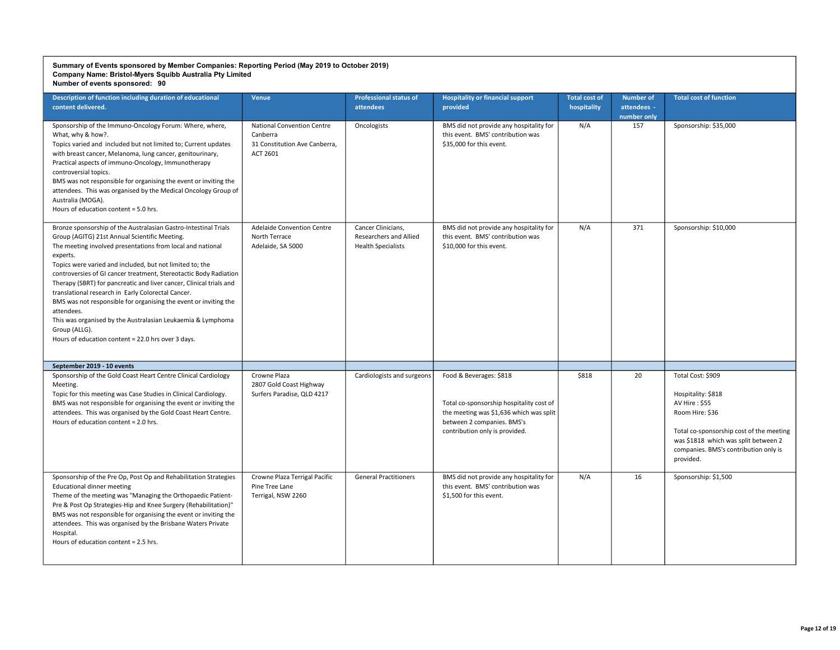| Description of function including duration of educational<br>content delivered.                                                                                                                                                                                                                                                                                                                                                                                                                                                                                                                                                                                                  | Venue                                                                                      | <b>Professional status of</b><br>attendees                                | <b>Hospitality or financial support</b><br>provided                                                                                                                            | <b>Total cost of</b><br>hospitality | <b>Number of</b><br>attendees -<br>number only | <b>Total cost of function</b>                                                                                                                                                                                         |
|----------------------------------------------------------------------------------------------------------------------------------------------------------------------------------------------------------------------------------------------------------------------------------------------------------------------------------------------------------------------------------------------------------------------------------------------------------------------------------------------------------------------------------------------------------------------------------------------------------------------------------------------------------------------------------|--------------------------------------------------------------------------------------------|---------------------------------------------------------------------------|--------------------------------------------------------------------------------------------------------------------------------------------------------------------------------|-------------------------------------|------------------------------------------------|-----------------------------------------------------------------------------------------------------------------------------------------------------------------------------------------------------------------------|
| Sponsorship of the Immuno-Oncology Forum: Where, where,<br>What, why & how?.<br>Topics varied and included but not limited to; Current updates<br>with breast cancer, Melanoma, lung cancer, genitourinary,<br>Practical aspects of immuno-Oncology, Immunotherapy<br>controversial topics.<br>BMS was not responsible for organising the event or inviting the<br>attendees. This was organised by the Medical Oncology Group of<br>Australia (MOGA).<br>Hours of education content = 5.0 hrs.                                                                                                                                                                                  | <b>National Convention Centre</b><br>Canberra<br>31 Constitution Ave Canberra,<br>ACT 2601 | Oncologists                                                               | BMS did not provide any hospitality for<br>this event. BMS' contribution was<br>\$35,000 for this event.                                                                       | N/A                                 | 157                                            | Sponsorship: \$35,000                                                                                                                                                                                                 |
| Bronze sponsorship of the Australasian Gastro-Intestinal Trials<br>Group (AGITG) 21st Annual Scientific Meeting.<br>The meeting involved presentations from local and national<br>experts.<br>Topics were varied and included, but not limited to; the<br>controversies of GI cancer treatment, Stereotactic Body Radiation<br>Therapy (SBRT) for pancreatic and liver cancer, Clinical trials and<br>translational research in Early Colorectal Cancer.<br>BMS was not responsible for organising the event or inviting the<br>attendees.<br>This was organised by the Australasian Leukaemia & Lymphoma<br>Group (ALLG).<br>Hours of education content = 22.0 hrs over 3 days. | <b>Adelaide Convention Centre</b><br>North Terrace<br>Adelaide, SA 5000                    | Cancer Clinicians,<br>Researchers and Allied<br><b>Health Specialists</b> | BMS did not provide any hospitality for<br>this event. BMS' contribution was<br>\$10,000 for this event.                                                                       | N/A                                 | 371                                            | Sponsorship: \$10,000                                                                                                                                                                                                 |
| September 2019 - 10 events                                                                                                                                                                                                                                                                                                                                                                                                                                                                                                                                                                                                                                                       |                                                                                            |                                                                           |                                                                                                                                                                                |                                     |                                                |                                                                                                                                                                                                                       |
| Sponsorship of the Gold Coast Heart Centre Clinical Cardiology<br>Meeting.<br>Topic for this meeting was Case Studies in Clinical Cardiology.<br>BMS was not responsible for organising the event or inviting the<br>attendees. This was organised by the Gold Coast Heart Centre.<br>Hours of education content = 2.0 hrs.                                                                                                                                                                                                                                                                                                                                                      | Crowne Plaza<br>2807 Gold Coast Highway<br>Surfers Paradise, QLD 4217                      | Cardiologists and surgeons                                                | Food & Beverages: \$818<br>Total co-sponsorship hospitality cost of<br>the meeting was \$1,636 which was split<br>between 2 companies. BMS's<br>contribution only is provided. | \$818                               | 20                                             | Total Cost: \$909<br>Hospitality: \$818<br>AV Hire: \$55<br>Room Hire: \$36<br>Total co-sponsorship cost of the meeting<br>was \$1818 which was split between 2<br>companies. BMS's contribution only is<br>provided. |
| Sponsorship of the Pre Op, Post Op and Rehabilitation Strategies<br><b>Educational dinner meeting</b><br>Theme of the meeting was "Managing the Orthopaedic Patient-<br>Pre & Post Op Strategies-Hip and Knee Surgery (Rehabilitation)"<br>BMS was not responsible for organising the event or inviting the<br>attendees. This was organised by the Brisbane Waters Private<br>Hospital.<br>Hours of education content = 2.5 hrs.                                                                                                                                                                                                                                                | Crowne Plaza Terrigal Pacific<br>Pine Tree Lane<br>Terrigal, NSW 2260                      | <b>General Practitioners</b>                                              | BMS did not provide any hospitality for<br>this event. BMS' contribution was<br>\$1,500 for this event.                                                                        | N/A                                 | 16                                             | Sponsorship: \$1,500                                                                                                                                                                                                  |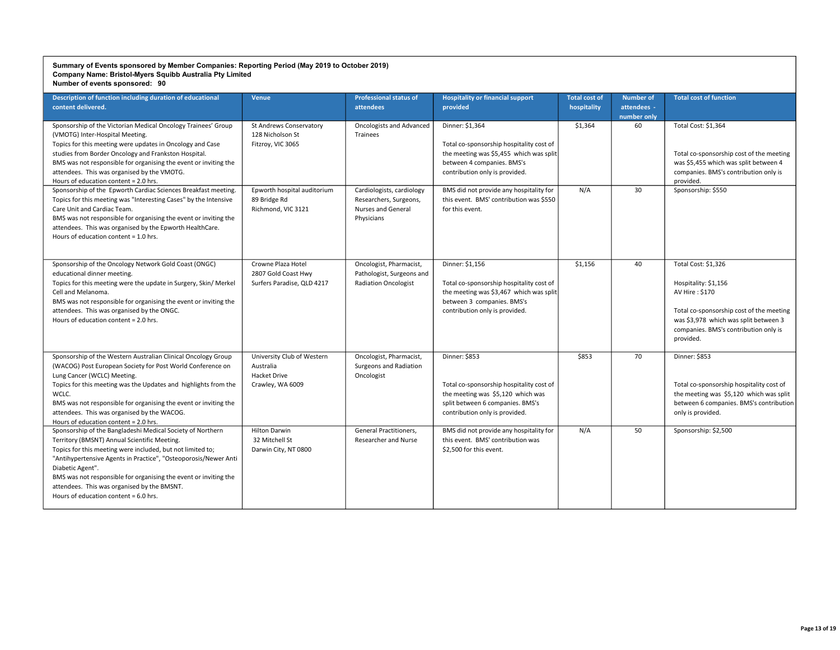| Description of function including duration of educational<br>content delivered.                                                                                                                                                                                                                                                                                                                                             | <b>Venue</b>                                                                | <b>Professional status of</b><br>attendees                                              | <b>Hospitality or financial support</b><br>provided                                                                                                                    | <b>Total cost of</b><br>hospitality | <b>Number of</b><br>attendees -<br>number only | <b>Total cost of function</b>                                                                                                                                                                            |
|-----------------------------------------------------------------------------------------------------------------------------------------------------------------------------------------------------------------------------------------------------------------------------------------------------------------------------------------------------------------------------------------------------------------------------|-----------------------------------------------------------------------------|-----------------------------------------------------------------------------------------|------------------------------------------------------------------------------------------------------------------------------------------------------------------------|-------------------------------------|------------------------------------------------|----------------------------------------------------------------------------------------------------------------------------------------------------------------------------------------------------------|
| Sponsorship of the Victorian Medical Oncology Trainees' Group<br>(VMOTG) Inter-Hospital Meeting.<br>Topics for this meeting were updates in Oncology and Case<br>studies from Border Oncology and Frankston Hospital.<br>BMS was not responsible for organising the event or inviting the<br>attendees. This was organised by the VMOTG.<br>Hours of education content = 2.0 hrs.                                           | St Andrews Conservatory<br>128 Nicholson St<br>Fitzroy, VIC 3065            | Oncologists and Advanced<br>Trainees                                                    | Dinner: \$1,364<br>Total co-sponsorship hospitality cost of<br>the meeting was \$5,455 which was split<br>between 4 companies. BMS's<br>contribution only is provided. | \$1,364                             | 60                                             | Total Cost: \$1,364<br>Total co-sponsorship cost of the meeting<br>was \$5,455 which was split between 4<br>companies. BMS's contribution only is<br>provided.                                           |
| Sponsorship of the Epworth Cardiac Sciences Breakfast meeting.<br>Topics for this meeting was "Interesting Cases" by the Intensive<br>Care Unit and Cardiac Team.<br>BMS was not responsible for organising the event or inviting the<br>attendees. This was organised by the Epworth HealthCare.<br>Hours of education content = 1.0 hrs.                                                                                  | Epworth hospital auditorium<br>89 Bridge Rd<br>Richmond, VIC 3121           | Cardiologists, cardiology<br>Researchers, Surgeons,<br>Nurses and General<br>Physicians | BMS did not provide any hospitality for<br>this event. BMS' contribution was \$550<br>for this event.                                                                  | N/A                                 | 30                                             | Sponsorship: \$550                                                                                                                                                                                       |
| Sponsorship of the Oncology Network Gold Coast (ONGC)<br>educational dinner meeting.<br>Topics for this meeting were the update in Surgery, Skin/ Merkel<br>Cell and Melanoma.<br>BMS was not responsible for organising the event or inviting the<br>attendees. This was organised by the ONGC.<br>Hours of education content = 2.0 hrs.                                                                                   | Crowne Plaza Hotel<br>2807 Gold Coast Hwy<br>Surfers Paradise, QLD 4217     | Oncologist, Pharmacist,<br>Pathologist, Surgeons and<br><b>Radiation Oncologist</b>     | Dinner: \$1,156<br>Total co-sponsorship hospitality cost of<br>the meeting was \$3,467 which was split<br>between 3 companies. BMS's<br>contribution only is provided. | \$1,156                             | 40                                             | Total Cost: \$1,326<br>Hospitality: \$1,156<br>AV Hire: \$170<br>Total co-sponsorship cost of the meeting<br>was \$3,978 which was split between 3<br>companies. BMS's contribution only is<br>provided. |
| Sponsorship of the Western Australian Clinical Oncology Group<br>(WACOG) Post European Society for Post World Conference on<br>Lung Cancer (WCLC) Meeting.<br>Topics for this meeting was the Updates and highlights from the<br>WCLC.<br>BMS was not responsible for organising the event or inviting the<br>attendees. This was organised by the WACOG.<br>Hours of education content = 2.0 hrs.                          | University Club of Western<br>Australia<br>Hacket Drive<br>Crawley, WA 6009 | Oncologist, Pharmacist,<br>Surgeons and Radiation<br>Oncologist                         | Dinner: \$853<br>Total co-sponsorship hospitality cost of<br>the meeting was \$5,120 which was<br>split between 6 companies. BMS's<br>contribution only is provided.   | \$853                               | 70                                             | Dinner: \$853<br>Total co-sponsorship hospitality cost of<br>the meeting was \$5,120 which was split<br>between 6 companies. BMS's contribution<br>only is provided.                                     |
| Sponsorship of the Bangladeshi Medical Society of Northern<br>Territory (BMSNT) Annual Scientific Meeting.<br>Topics for this meeting were included, but not limited to;<br>"Antihypertensive Agents in Practice", "Osteoporosis/Newer Anti<br>Diabetic Agent".<br>BMS was not responsible for organising the event or inviting the<br>attendees. This was organised by the BMSNT.<br>Hours of education content = 6.0 hrs. | <b>Hilton Darwin</b><br>32 Mitchell St<br>Darwin City, NT 0800              | General Practitioners,<br>Researcher and Nurse                                          | BMS did not provide any hospitality for<br>this event. BMS' contribution was<br>\$2.500 for this event.                                                                | N/A                                 | 50                                             | Sponsorship: \$2,500                                                                                                                                                                                     |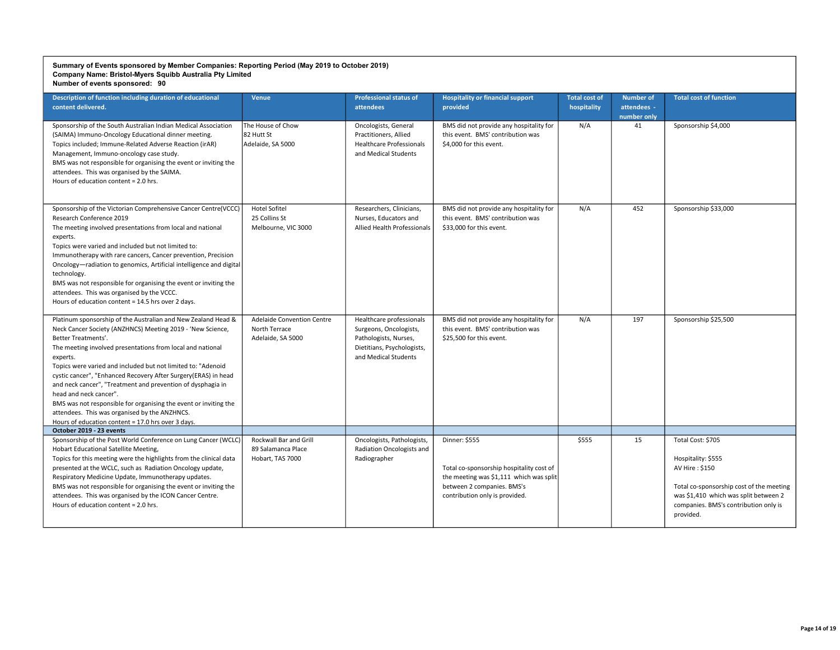| Description of function including duration of educational<br>content delivered.                                                                                                                                                                                                                                                                                                                                                                                                                                                                                                                                                    | <b>Venue</b>                                                            | <b>Professional status of</b><br>attendees                                                                                        | <b>Hospitality or financial support</b><br>provided                                                                                                                  | <b>Total cost of</b><br>hospitality | <b>Number of</b><br>attendees -<br>number only | <b>Total cost of function</b>                                                                                                                                                                        |
|------------------------------------------------------------------------------------------------------------------------------------------------------------------------------------------------------------------------------------------------------------------------------------------------------------------------------------------------------------------------------------------------------------------------------------------------------------------------------------------------------------------------------------------------------------------------------------------------------------------------------------|-------------------------------------------------------------------------|-----------------------------------------------------------------------------------------------------------------------------------|----------------------------------------------------------------------------------------------------------------------------------------------------------------------|-------------------------------------|------------------------------------------------|------------------------------------------------------------------------------------------------------------------------------------------------------------------------------------------------------|
| Sponsorship of the South Australian Indian Medical Association<br>(SAIMA) Immuno-Oncology Educational dinner meeting.<br>Topics included; Immune-Related Adverse Reaction (irAR)<br>Management, Immuno-oncology case study.<br>BMS was not responsible for organising the event or inviting the<br>attendees. This was organised by the SAIMA.<br>Hours of education content = 2.0 hrs.                                                                                                                                                                                                                                            | The House of Chow<br>82 Hutt St<br>Adelaide, SA 5000                    | Oncologists, General<br>Practitioners, Allied<br><b>Healthcare Professionals</b><br>and Medical Students                          | BMS did not provide any hospitality for<br>this event. BMS' contribution was<br>\$4,000 for this event.                                                              | N/A                                 | 41                                             | Sponsorship \$4,000                                                                                                                                                                                  |
| Sponsorship of the Victorian Comprehensive Cancer Centre(VCCC)<br>Research Conference 2019<br>The meeting involved presentations from local and national<br>experts.<br>Topics were varied and included but not limited to:<br>Immunotherapy with rare cancers, Cancer prevention, Precision<br>Oncology-radiation to genomics, Artificial intelligence and digital<br>technology.<br>BMS was not responsible for organising the event or inviting the<br>attendees. This was organised by the VCCC.<br>Hours of education content = 14.5 hrs over 2 days.                                                                         | <b>Hotel Sofitel</b><br>25 Collins St<br>Melbourne, VIC 3000            | Researchers, Clinicians,<br>Nurses, Educators and<br><b>Allied Health Professionals</b>                                           | BMS did not provide any hospitality for<br>this event. BMS' contribution was<br>\$33,000 for this event.                                                             | N/A                                 | 452                                            | Sponsorship \$33,000                                                                                                                                                                                 |
| Platinum sponsorship of the Australian and New Zealand Head &<br>Neck Cancer Society (ANZHNCS) Meeting 2019 - 'New Science,<br>Better Treatments'.<br>The meeting involved presentations from local and national<br>experts.<br>Topics were varied and included but not limited to: "Adenoid<br>cystic cancer", "Enhanced Recovery After Surgery(ERAS) in head<br>and neck cancer", "Treatment and prevention of dysphagia in<br>head and neck cancer".<br>BMS was not responsible for organising the event or inviting the<br>attendees. This was organised by the ANZHNCS.<br>Hours of education content = 17.0 hrs over 3 days. | <b>Adelaide Convention Centre</b><br>North Terrace<br>Adelaide, SA 5000 | Healthcare professionals<br>Surgeons, Oncologists,<br>Pathologists, Nurses,<br>Dietitians, Psychologists,<br>and Medical Students | BMS did not provide any hospitality for<br>this event. BMS' contribution was<br>\$25,500 for this event.                                                             | N/A                                 | 197                                            | Sponsorship \$25,500                                                                                                                                                                                 |
| October 2019 - 23 events                                                                                                                                                                                                                                                                                                                                                                                                                                                                                                                                                                                                           |                                                                         |                                                                                                                                   |                                                                                                                                                                      |                                     |                                                |                                                                                                                                                                                                      |
| Sponsorship of the Post World Conference on Lung Cancer (WCLC)<br>Hobart Educational Satellite Meeting,<br>Topics for this meeting were the highlights from the clinical data<br>presented at the WCLC, such as Radiation Oncology update,<br>Respiratory Medicine Update, Immunotherapy updates.<br>BMS was not responsible for organising the event or inviting the<br>attendees. This was organised by the ICON Cancer Centre.<br>Hours of education content = 2.0 hrs.                                                                                                                                                         | Rockwall Bar and Grill<br>89 Salamanca Place<br>Hobart, TAS 7000        | Oncologists, Pathologists,<br>Radiation Oncologists and<br>Radiographer                                                           | Dinner: \$555<br>Total co-sponsorship hospitality cost of<br>the meeting was \$1,111 which was split<br>between 2 companies. BMS's<br>contribution only is provided. | \$555                               | 15                                             | Total Cost: \$705<br>Hospitality: \$555<br>AV Hire: \$150<br>Total co-sponsorship cost of the meeting<br>was \$1,410 which was split between 2<br>companies. BMS's contribution only is<br>provided. |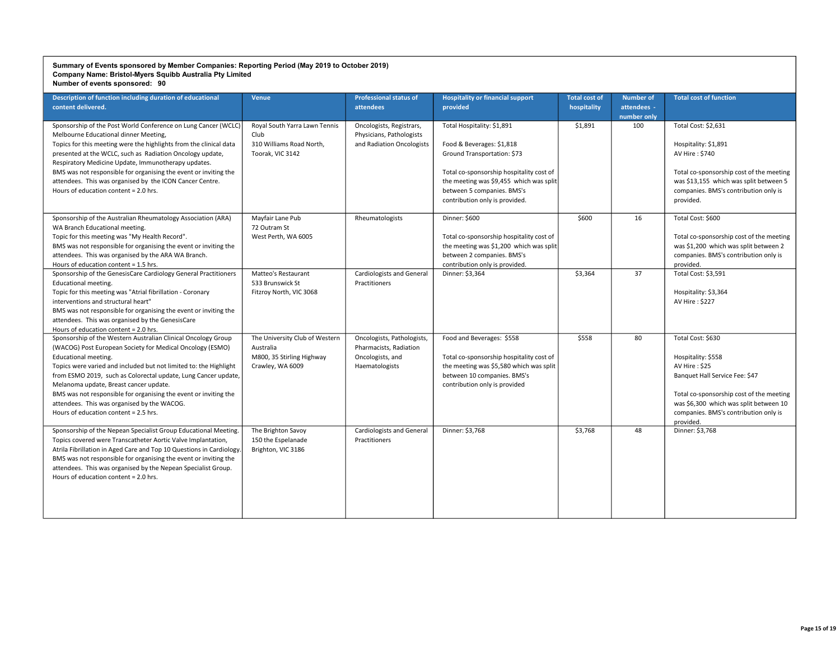| Description of function including duration of educational<br>content delivered.                                                                                                                                                                                                                                                                                                                                                                                                                                                                                                              | Venue                                                                                                                         | <b>Professional status of</b><br>attendees                                                 | <b>Hospitality or financial support</b><br>provided                                                                                                                                                                                           | <b>Total cost of</b><br>hospitality | <b>Number of</b><br>attendees -<br>number only | <b>Total cost of function</b>                                                                                                                                                                                                          |
|----------------------------------------------------------------------------------------------------------------------------------------------------------------------------------------------------------------------------------------------------------------------------------------------------------------------------------------------------------------------------------------------------------------------------------------------------------------------------------------------------------------------------------------------------------------------------------------------|-------------------------------------------------------------------------------------------------------------------------------|--------------------------------------------------------------------------------------------|-----------------------------------------------------------------------------------------------------------------------------------------------------------------------------------------------------------------------------------------------|-------------------------------------|------------------------------------------------|----------------------------------------------------------------------------------------------------------------------------------------------------------------------------------------------------------------------------------------|
| Sponsorship of the Post World Conference on Lung Cancer (WCLC)<br>Melbourne Educational dinner Meeting,<br>Topics for this meeting were the highlights from the clinical data<br>presented at the WCLC, such as Radiation Oncology update,<br>Respiratory Medicine Update, Immunotherapy updates.<br>BMS was not responsible for organising the event or inviting the<br>attendees. This was organised by the ICON Cancer Centre.<br>Hours of education content = 2.0 hrs.                                                                                                                   | Royal South Yarra Lawn Tennis<br>Club<br>310 Williams Road North,<br>Toorak, VIC 3142                                         | Oncologists, Registrars,<br>Physicians, Pathologists<br>and Radiation Oncologists          | Total Hospitality: \$1,891<br>Food & Beverages: \$1,818<br>Ground Transportation: \$73<br>Total co-sponsorship hospitality cost of<br>the meeting was \$9,455 which was split<br>between 5 companies. BMS's<br>contribution only is provided. | \$1,891                             | 100                                            | Total Cost: \$2,631<br>Hospitality: \$1,891<br>AV Hire: \$740<br>Total co-sponsorship cost of the meeting<br>was \$13,155 which was split between 5<br>companies. BMS's contribution only is<br>provided.                              |
| Sponsorship of the Australian Rheumatology Association (ARA)<br>WA Branch Educational meeting.<br>Topic for this meeting was "My Health Record".<br>BMS was not responsible for organising the event or inviting the<br>attendees. This was organised by the ARA WA Branch.<br>Hours of education content = 1.5 hrs.<br>Sponsorship of the GenesisCare Cardiology General Practitioners<br>Educational meeting.<br>Topic for this meeting was "Atrial fibrillation - Coronary<br>interventions and structural heart"<br>BMS was not responsible for organising the event or inviting the     | Mayfair Lane Pub<br>72 Outram St<br>West Perth, WA 6005<br>Matteo's Restaurant<br>533 Brunswick St<br>Fitzroy North, VIC 3068 | Rheumatologists<br><b>Cardiologists and General</b><br>Practitioners                       | Dinner: \$600<br>Total co-sponsorship hospitality cost of<br>the meeting was \$1,200 which was split<br>between 2 companies. BMS's<br>contribution only is provided.<br>Dinner: \$3,364                                                       | \$600<br>\$3,364                    | 16<br>37                                       | Total Cost: \$600<br>Total co-sponsorship cost of the meeting<br>was \$1,200 which was split between 2<br>companies. BMS's contribution only is<br>provided.<br>Total Cost: \$3,591<br>Hospitality: \$3,364<br>AV Hire: \$227          |
| attendees. This was organised by the GenesisCare<br>Hours of education content = 2.0 hrs.<br>Sponsorship of the Western Australian Clinical Oncology Group<br>(WACOG) Post European Society for Medical Oncology (ESMO)<br>Educational meeting.<br>Topics were varied and included but not limited to: the Highlight<br>from ESMO 2019, such as Colorectal update, Lung Cancer update,<br>Melanoma update, Breast cancer update.<br>BMS was not responsible for organising the event or inviting the<br>attendees. This was organised by the WACOG.<br>Hours of education content = 2.5 hrs. | The University Club of Western<br>Australia<br>M800, 35 Stirling Highway<br>Crawley, WA 6009                                  | Oncologists, Pathologists,<br>Pharmacists, Radiation<br>Oncologists, and<br>Haematologists | Food and Beverages: \$558<br>Total co-sponsorship hospitality cost of<br>the meeting was \$5,580 which was split<br>between 10 companies. BMS's<br>contribution only is provided                                                              | \$558                               | 80                                             | Total Cost: \$630<br>Hospitality: \$558<br>AV Hire: \$25<br>Banquet Hall Service Fee: \$47<br>Total co-sponsorship cost of the meeting<br>was \$6,300 which was split between 10<br>companies. BMS's contribution only is<br>provided. |
| Sponsorship of the Nepean Specialist Group Educational Meeting.<br>Topics covered were Transcatheter Aortic Valve Implantation,<br>Atrila Fibrillation in Aged Care and Top 10 Questions in Cardiology.<br>BMS was not responsible for organising the event or inviting the<br>attendees. This was organised by the Nepean Specialist Group.<br>Hours of education content = 2.0 hrs.                                                                                                                                                                                                        | The Brighton Savoy<br>150 the Espelanade<br>Brighton, VIC 3186                                                                | <b>Cardiologists and General</b><br>Practitioners                                          | Dinner: \$3,768                                                                                                                                                                                                                               | \$3,768                             | 48                                             | Dinner: \$3,768                                                                                                                                                                                                                        |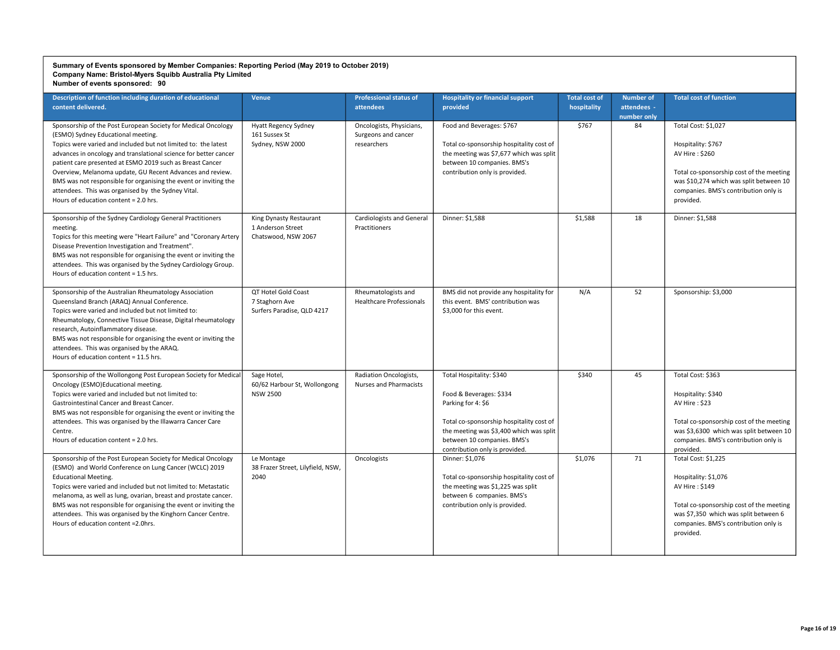| Description of function including duration of educational<br>content delivered.                                                                                                                                                                                                                                                                                                                                                                                                                                                        | <b>Venue</b>                                                        | <b>Professional status of</b><br>attendees                     | <b>Hospitality or financial support</b><br>provided                                                                                                                                                                               | <b>Total cost of</b><br>hospitality | <b>Number of</b><br>attendees -<br>number only | <b>Total cost of function</b>                                                                                                                                                                            |
|----------------------------------------------------------------------------------------------------------------------------------------------------------------------------------------------------------------------------------------------------------------------------------------------------------------------------------------------------------------------------------------------------------------------------------------------------------------------------------------------------------------------------------------|---------------------------------------------------------------------|----------------------------------------------------------------|-----------------------------------------------------------------------------------------------------------------------------------------------------------------------------------------------------------------------------------|-------------------------------------|------------------------------------------------|----------------------------------------------------------------------------------------------------------------------------------------------------------------------------------------------------------|
| Sponsorship of the Post European Society for Medical Oncology<br>(ESMO) Sydney Educational meeting.<br>Topics were varied and included but not limited to: the latest<br>advances in oncology and translational science for better cancer<br>patient care presented at ESMO 2019 such as Breast Cancer<br>Overview, Melanoma update, GU Recent Advances and review.<br>BMS was not responsible for organising the event or inviting the<br>attendees. This was organised by the Sydney Vital.<br>Hours of education content = 2.0 hrs. | <b>Hyatt Regency Sydney</b><br>161 Sussex St<br>Sydney, NSW 2000    | Oncologists, Physicians,<br>Surgeons and cancer<br>researchers | Food and Beverages: \$767<br>Total co-sponsorship hospitality cost of<br>the meeting was \$7,677 which was split<br>between 10 companies. BMS's<br>contribution only is provided.                                                 | \$767                               | 84                                             | Total Cost: \$1,027<br>Hospitality: \$767<br>AV Hire: \$260<br>Total co-sponsorship cost of the meeting<br>was \$10,274 which was split between 10<br>companies. BMS's contribution only is<br>provided. |
| Sponsorship of the Sydney Cardiology General Practitioners<br>meeting.<br>Topics for this meeting were "Heart Failure" and "Coronary Artery<br>Disease Prevention Investigation and Treatment".<br>BMS was not responsible for organising the event or inviting the<br>attendees. This was organised by the Sydney Cardiology Group.<br>Hours of education content = 1.5 hrs.                                                                                                                                                          | King Dynasty Restaurant<br>1 Anderson Street<br>Chatswood, NSW 2067 | <b>Cardiologists and General</b><br>Practitioners              | Dinner: \$1,588                                                                                                                                                                                                                   | \$1,588                             | 18                                             | Dinner: \$1,588                                                                                                                                                                                          |
| Sponsorship of the Australian Rheumatology Association<br>Queensland Branch (ARAQ) Annual Conference.<br>Topics were varied and included but not limited to:<br>Rheumatology, Connective Tissue Disease, Digital rheumatology<br>research, Autoinflammatory disease.<br>BMS was not responsible for organising the event or inviting the<br>attendees. This was organised by the ARAQ.<br>Hours of education content = 11.5 hrs.                                                                                                       | QT Hotel Gold Coast<br>7 Staghorn Ave<br>Surfers Paradise, QLD 4217 | Rheumatologists and<br><b>Healthcare Professionals</b>         | BMS did not provide any hospitality for<br>this event. BMS' contribution was<br>\$3.000 for this event.                                                                                                                           | N/A                                 | 52                                             | Sponsorship: \$3,000                                                                                                                                                                                     |
| Sponsorship of the Wollongong Post European Society for Medical<br>Oncology (ESMO)Educational meeting.<br>Topics were varied and included but not limited to:<br>Gastrointestinal Cancer and Breast Cancer.<br>BMS was not responsible for organising the event or inviting the<br>attendees. This was organised by the Illawarra Cancer Care<br>Centre.<br>Hours of education content = 2.0 hrs.                                                                                                                                      | Sage Hotel,<br>60/62 Harbour St, Wollongong<br><b>NSW 2500</b>      | Radiation Oncologists,<br>Nurses and Pharmacists               | Total Hospitality: \$340<br>Food & Beverages: \$334<br>Parking for 4: \$6<br>Total co-sponsorship hospitality cost of<br>the meeting was \$3,400 which was split<br>between 10 companies. BMS's<br>contribution only is provided. | \$340                               | 45                                             | Total Cost: \$363<br>Hospitality: \$340<br>AV Hire: \$23<br>Total co-sponsorship cost of the meeting<br>was \$3,6300 which was split between 10<br>companies. BMS's contribution only is<br>provided.    |
| Sponsorship of the Post European Society for Medical Oncology<br>(ESMO) and World Conference on Lung Cancer (WCLC) 2019<br><b>Educational Meeting.</b><br>Topics were varied and included but not limited to: Metastatic<br>melanoma, as well as lung, ovarian, breast and prostate cancer.<br>BMS was not responsible for organising the event or inviting the<br>attendees. This was organised by the Kinghorn Cancer Centre.<br>Hours of education content = 2.0 hrs.                                                               | Le Montage<br>38 Frazer Street, Lilyfield, NSW,<br>2040             | Oncologists                                                    | Dinner: \$1,076<br>Total co-sponsorship hospitality cost of<br>the meeting was \$1,225 was split<br>between 6 companies. BMS's<br>contribution only is provided.                                                                  | \$1,076                             | 71                                             | Total Cost: \$1,225<br>Hospitality: \$1,076<br>AV Hire: \$149<br>Total co-sponsorship cost of the meeting<br>was \$7,350 which was split between 6<br>companies. BMS's contribution only is<br>provided. |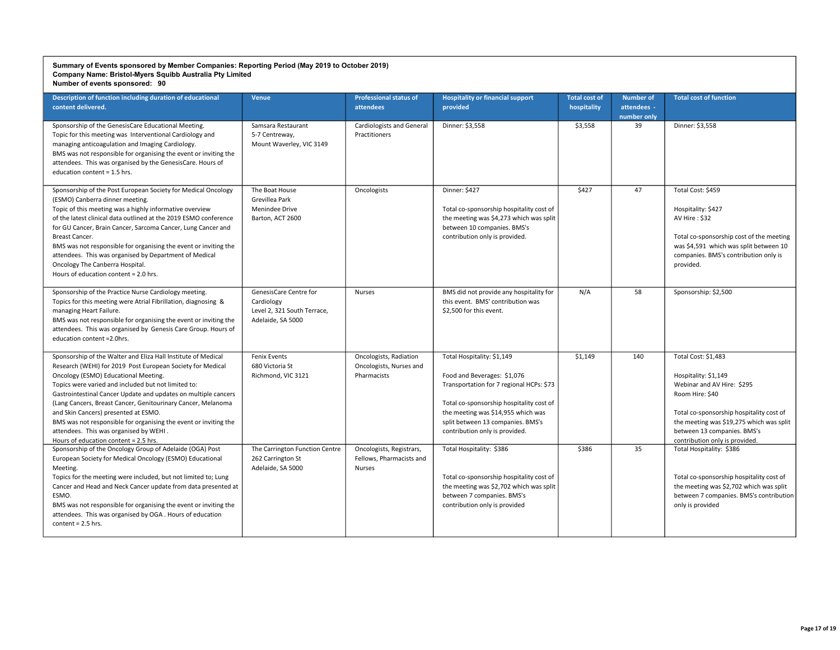| Description of function including duration of educational<br>content delivered.                                                                                                                                                                                                                                                                                                                                                                                                                                                                             | <b>Venue</b>                                                                             | <b>Professional status of</b><br>attendees                       | <b>Hospitality or financial support</b><br>provided                                                                                                                                                                                                            | <b>Total cost of</b><br>hospitality | <b>Number of</b><br>attendees -<br>number only | <b>Total cost of function</b>                                                                                                                                                                                                                         |
|-------------------------------------------------------------------------------------------------------------------------------------------------------------------------------------------------------------------------------------------------------------------------------------------------------------------------------------------------------------------------------------------------------------------------------------------------------------------------------------------------------------------------------------------------------------|------------------------------------------------------------------------------------------|------------------------------------------------------------------|----------------------------------------------------------------------------------------------------------------------------------------------------------------------------------------------------------------------------------------------------------------|-------------------------------------|------------------------------------------------|-------------------------------------------------------------------------------------------------------------------------------------------------------------------------------------------------------------------------------------------------------|
| Sponsorship of the GenesisCare Educational Meeting.<br>Topic for this meeting was Interventional Cardiology and<br>managing anticoagulation and Imaging Cardiology.<br>BMS was not responsible for organising the event or inviting the<br>attendees. This was organised by the GenesisCare. Hours of<br>education content = 1.5 hrs.                                                                                                                                                                                                                       | Samsara Restaurant<br>5-7 Centreway,<br>Mount Waverley, VIC 3149                         | <b>Cardiologists and General</b><br>Practitioners                | Dinner: \$3,558                                                                                                                                                                                                                                                | \$3,558                             | 39                                             | Dinner: \$3,558                                                                                                                                                                                                                                       |
| Sponsorship of the Post European Society for Medical Oncology<br>(ESMO) Canberra dinner meeting.<br>Topic of this meeting was a highly informative overview<br>of the latest clinical data outlined at the 2019 ESMO conference<br>for GU Cancer, Brain Cancer, Sarcoma Cancer, Lung Cancer and<br>Breast Cancer.<br>BMS was not responsible for organising the event or inviting the<br>attendees. This was organised by Department of Medical<br>Oncology The Canberra Hospital.<br>Hours of education content = 2.0 hrs.                                 | The Boat House<br>Grevillea Park<br>Menindee Drive<br>Barton, ACT 2600                   | Oncologists                                                      | Dinner: \$427<br>Total co-sponsorship hospitality cost of<br>the meeting was \$4,273 which was split<br>between 10 companies. BMS's<br>contribution only is provided.                                                                                          | \$427                               | 47                                             | Total Cost: \$459<br>Hospitality: \$427<br>AV Hire: \$32<br>Total co-sponsorship cost of the meeting<br>was \$4,591 which was split between 10<br>companies. BMS's contribution only is<br>provided.                                                  |
| Sponsorship of the Practice Nurse Cardiology meeting.<br>Topics for this meeting were Atrial Fibrillation, diagnosing &<br>managing Heart Failure.<br>BMS was not responsible for organising the event or inviting the<br>attendees. This was organised by Genesis Care Group. Hours of<br>education content = 2.0hrs.                                                                                                                                                                                                                                      | GenesisCare Centre for<br>Cardiology<br>Level 2, 321 South Terrace,<br>Adelaide, SA 5000 | Nurses                                                           | BMS did not provide any hospitality for<br>this event. BMS' contribution was<br>\$2.500 for this event.                                                                                                                                                        | N/A                                 | 58                                             | Sponsorship: \$2,500                                                                                                                                                                                                                                  |
| Sponsorship of the Walter and Eliza Hall Institute of Medical<br>Research (WEHI) for 2019 Post European Society for Medical<br>Oncology (ESMO) Educational Meeting.<br>Topics were varied and included but not limited to:<br>Gastrointestinal Cancer Update and updates on multiple cancers<br>(Lang Cancers, Breast Cancer, Genitourinary Cancer, Melanoma<br>and Skin Cancers) presented at ESMO.<br>BMS was not responsible for organising the event or inviting the<br>attendees. This was organised by WEHI.<br>Hours of education content = 2.5 hrs. | Fenix Events<br>680 Victoria St<br>Richmond, VIC 3121                                    | Oncologists, Radiation<br>Oncologists, Nurses and<br>Pharmacists | Total Hospitality: \$1,149<br>Food and Beverages: \$1,076<br>Transportation for 7 regional HCPs: \$73<br>Total co-sponsorship hospitality cost of<br>the meeting was \$14,955 which was<br>split between 13 companies. BMS's<br>contribution only is provided. | \$1,149                             | 140                                            | Total Cost: \$1,483<br>Hospitality: \$1,149<br>Webinar and AV Hire: \$295<br>Room Hire: \$40<br>Total co-sponsorship hospitality cost of<br>the meeting was \$19,275 which was split<br>between 13 companies. BMS's<br>contribution only is provided. |
| Sponsorship of the Oncology Group of Adelaide (OGA) Post<br>European Society for Medical Oncology (ESMO) Educational<br>Meeting.<br>Topics for the meeting were included, but not limited to; Lung<br>Cancer and Head and Neck Cancer update from data presented at<br>ESMO.<br>BMS was not responsible for organising the event or inviting the<br>attendees. This was organised by OGA. Hours of education<br>content = $2.5$ hrs.                                                                                                                        | The Carrington Function Centre<br>262 Carrington St<br>Adelaide, SA 5000                 | Oncologists, Registrars,<br>Fellows, Pharmacists and<br>Nurses   | Total Hospitality: \$386<br>Total co-sponsorship hospitality cost of<br>the meeting was \$2,702 which was split<br>between 7 companies. BMS's<br>contribution only is provided                                                                                 | \$386                               | 35                                             | Total Hospitality: \$386<br>Total co-sponsorship hospitality cost of<br>the meeting was \$2,702 which was split<br>between 7 companies. BMS's contribution<br>only is provided                                                                        |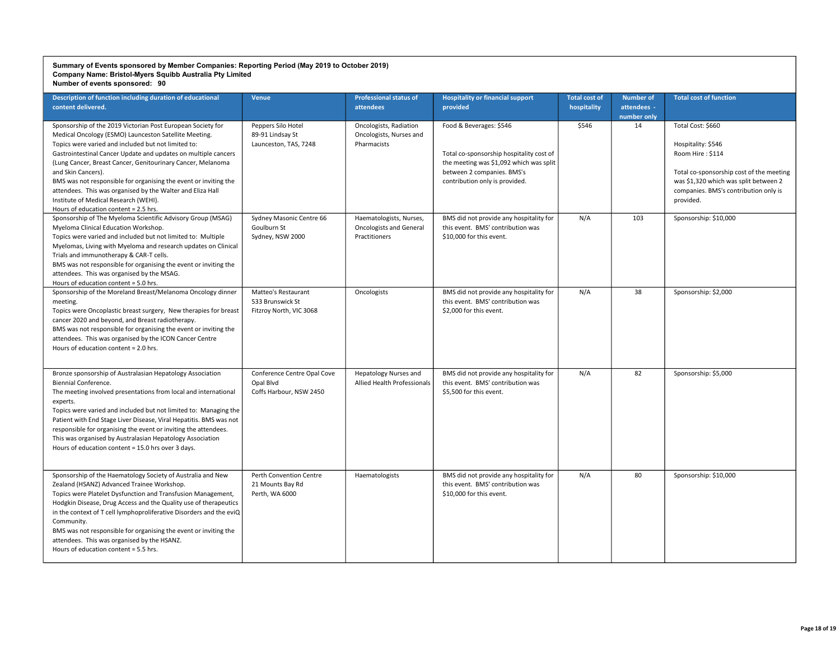| Description of function including duration of educational<br>content delivered.                                                                                                                                                                                                                                                                                                                                                                                                                                                                        | <b>Venue</b>                                                        | <b>Professional status of</b><br>attendees                                 | <b>Hospitality or financial support</b><br>provided                                                                                                                            | <b>Total cost of</b><br>hospitality | <b>Number of</b><br>attendees -<br>number only | <b>Total cost of function</b>                                                                                                                                                                          |
|--------------------------------------------------------------------------------------------------------------------------------------------------------------------------------------------------------------------------------------------------------------------------------------------------------------------------------------------------------------------------------------------------------------------------------------------------------------------------------------------------------------------------------------------------------|---------------------------------------------------------------------|----------------------------------------------------------------------------|--------------------------------------------------------------------------------------------------------------------------------------------------------------------------------|-------------------------------------|------------------------------------------------|--------------------------------------------------------------------------------------------------------------------------------------------------------------------------------------------------------|
| Sponsorship of the 2019 Victorian Post European Society for<br>Medical Oncology (ESMO) Launceston Satellite Meeting.<br>Topics were varied and included but not limited to:<br>Gastrointestinal Cancer Update and updates on multiple cancers<br>(Lung Cancer, Breast Cancer, Genitourinary Cancer, Melanoma<br>and Skin Cancers).<br>BMS was not responsible for organising the event or inviting the<br>attendees. This was organised by the Walter and Eliza Hall<br>Institute of Medical Research (WEHI).<br>Hours of education content = 2.5 hrs. | Peppers Silo Hotel<br>89-91 Lindsay St<br>Launceston, TAS, 7248     | Oncologists, Radiation<br>Oncologists, Nurses and<br>Pharmacists           | Food & Beverages: \$546<br>Total co-sponsorship hospitality cost of<br>the meeting was \$1,092 which was split<br>between 2 companies. BMS's<br>contribution only is provided. | \$546                               | 14                                             | Total Cost: \$660<br>Hospitality: \$546<br>Room Hire: \$114<br>Total co-sponsorship cost of the meeting<br>was \$1,320 which was split between 2<br>companies. BMS's contribution only is<br>provided. |
| Sponsorship of The Myeloma Scientific Advisory Group (MSAG)<br>Myeloma Clinical Education Workshop.<br>Topics were varied and included but not limited to: Multiple<br>Myelomas, Living with Myeloma and research updates on Clinical<br>Trials and immunotherapy & CAR-T cells.<br>BMS was not responsible for organising the event or inviting the<br>attendees. This was organised by the MSAG.<br>Hours of education content = 5.0 hrs.                                                                                                            | Sydney Masonic Centre 66<br>Goulburn St<br>Sydney, NSW 2000         | Haematologists, Nurses,<br><b>Oncologists and General</b><br>Practitioners | BMS did not provide any hospitality for<br>this event. BMS' contribution was<br>\$10,000 for this event.                                                                       | N/A                                 | 103                                            | Sponsorship: \$10,000                                                                                                                                                                                  |
| Sponsorship of the Moreland Breast/Melanoma Oncology dinner<br>meeting.<br>Topics were Oncoplastic breast surgery, New therapies for breast<br>cancer 2020 and beyond, and Breast radiotherapy.<br>BMS was not responsible for organising the event or inviting the<br>attendees. This was organised by the ICON Cancer Centre<br>Hours of education content = 2.0 hrs.                                                                                                                                                                                | Matteo's Restaurant<br>533 Brunswick St<br>Fitzroy North, VIC 3068  | Oncologists                                                                | BMS did not provide any hospitality for<br>this event. BMS' contribution was<br>\$2,000 for this event.                                                                        | N/A                                 | 38                                             | Sponsorship: \$2,000                                                                                                                                                                                   |
| Bronze sponsorship of Australasian Hepatology Association<br>Biennial Conference.<br>The meeting involved presentations from local and international<br>experts.<br>Topics were varied and included but not limited to: Managing the<br>Patient with End Stage Liver Disease, Viral Hepatitis. BMS was not<br>responsible for organising the event or inviting the attendees.<br>This was organised by Australasian Hepatology Association<br>Hours of education content = 15.0 hrs over 3 days.                                                       | Conference Centre Opal Cove<br>Opal Blvd<br>Coffs Harbour, NSW 2450 | <b>Hepatology Nurses and</b><br>Allied Health Professionals                | BMS did not provide any hospitality for<br>this event. BMS' contribution was<br>\$5,500 for this event.                                                                        | N/A                                 | 82                                             | Sponsorship: \$5,000                                                                                                                                                                                   |
| Sponsorship of the Haematology Society of Australia and New<br>Zealand (HSANZ) Advanced Trainee Workshop.<br>Topics were Platelet Dysfunction and Transfusion Management,<br>Hodgkin Disease, Drug Access and the Quality use of therapeutics<br>in the context of T cell lymphoproliferative Disorders and the eviQ<br>Community.<br>BMS was not responsible for organising the event or inviting the<br>attendees. This was organised by the HSANZ.<br>Hours of education content = 5.5 hrs.                                                         | Perth Convention Centre<br>21 Mounts Bay Rd<br>Perth, WA 6000       | Haematologists                                                             | BMS did not provide any hospitality for<br>this event. BMS' contribution was<br>\$10,000 for this event.                                                                       | N/A                                 | 80                                             | Sponsorship: \$10,000                                                                                                                                                                                  |